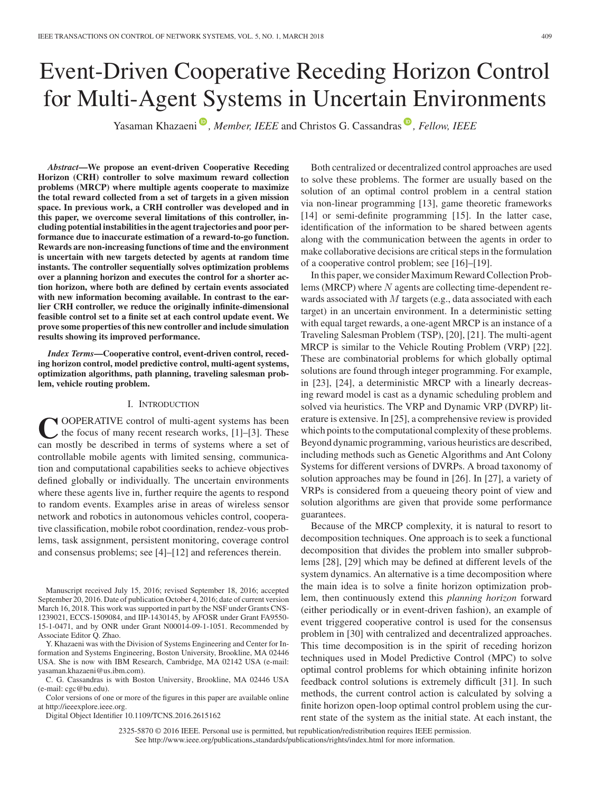# Event-Driven Cooperative Receding Horizon Control for Multi-Agent Systems in Uncertain Environments

Yasaman Khazaeni<sup><sup>®</sup>[,](https://orcid.org/0000-0002-1625-7658) *Member, IEEE* and Christos G. Cassandras<sup>®</sup>, *Fellow, IEEE*</sup>

*Abstract***—We propose an event-driven Cooperative Receding Horizon (CRH) controller to solve maximum reward collection problems (MRCP) where multiple agents cooperate to maximize the total reward collected from a set of targets in a given mission space. In previous work, a CRH controller was developed and in this paper, we overcome several limitations of this controller, including potential instabilities in the agent trajectories and poor performance due to inaccurate estimation of a reward-to-go function. Rewards are non-increasing functions of time and the environment is uncertain with new targets detected by agents at random time instants. The controller sequentially solves optimization problems over a planning horizon and executes the control for a shorter action horizon, where both are defined by certain events associated with new information becoming available. In contrast to the earlier CRH controller, we reduce the originally infinite-dimensional feasible control set to a finite set at each control update event. We prove some properties of this new controller and include simulation results showing its improved performance.**

*Index Terms***—Cooperative control, event-driven control, receding horizon control, model predictive control, multi-agent systems, optimization algorithms, path planning, traveling salesman problem, vehicle routing problem.**

## I. INTRODUCTION

**COOPERATIVE** control of multi-agent systems has been the focus of many recent research works,  $[1]$ – $[3]$ . These can mostly be described in terms of systems where a set of controllable mobile agents with limited sensing, communication and computational capabilities seeks to achieve objectives defined globally or individually. The uncertain environments where these agents live in, further require the agents to respond to random events. Examples arise in areas of wireless sensor network and robotics in autonomous vehicles control, cooperative classification, mobile robot coordination, rendez-vous problems, task assignment, persistent monitoring, coverage control and consensus problems; see [4]–[12] and references therein.

Digital Object Identifier 10.1109/TCNS.2016.2615162

Both centralized or decentralized control approaches are used to solve these problems. The former are usually based on the solution of an optimal control problem in a central station via non-linear programming [13], game theoretic frameworks [14] or semi-definite programming [15]. In the latter case, identification of the information to be shared between agents along with the communication between the agents in order to make collaborative decisions are critical steps in the formulation of a cooperative control problem; see [16]–[19].

In this paper, we consider Maximum Reward Collection Problems (MRCP) where  $N$  agents are collecting time-dependent rewards associated with  $M$  targets (e.g., data associated with each target) in an uncertain environment. In a deterministic setting with equal target rewards, a one-agent MRCP is an instance of a Traveling Salesman Problem (TSP), [20], [21]. The multi-agent MRCP is similar to the Vehicle Routing Problem (VRP) [22]. These are combinatorial problems for which globally optimal solutions are found through integer programming. For example, in [23], [24], a deterministic MRCP with a linearly decreasing reward model is cast as a dynamic scheduling problem and solved via heuristics. The VRP and Dynamic VRP (DVRP) literature is extensive. In [25], a comprehensive review is provided which points to the computational complexity of these problems. Beyond dynamic programming, various heuristics are described, including methods such as Genetic Algorithms and Ant Colony Systems for different versions of DVRPs. A broad taxonomy of solution approaches may be found in [26]. In [27], a variety of VRPs is considered from a queueing theory point of view and solution algorithms are given that provide some performance guarantees.

Because of the MRCP complexity, it is natural to resort to decomposition techniques. One approach is to seek a functional decomposition that divides the problem into smaller subproblems [28], [29] which may be defined at different levels of the system dynamics. An alternative is a time decomposition where the main idea is to solve a finite horizon optimization problem, then continuously extend this *planning horizon* forward (either periodically or in event-driven fashion), an example of event triggered cooperative control is used for the consensus problem in [30] with centralized and decentralized approaches. This time decomposition is in the spirit of receding horizon techniques used in Model Predictive Control (MPC) to solve optimal control problems for which obtaining infinite horizon feedback control solutions is extremely difficult [31]. In such methods, the current control action is calculated by solving a finite horizon open-loop optimal control problem using the current state of the system as the initial state. At each instant, the

2325-5870 © 2016 IEEE. Personal use is permitted, but republication/redistribution requires IEEE permission. See http://www.ieee.org/publications.standards/publications/rights/index.html for more information.

Manuscript received July 15, 2016; revised September 18, 2016; accepted September 20, 2016. Date of publication October 4, 2016; date of current version March 16, 2018. This work was supported in part by the NSF under Grants CNS-1239021, ECCS-1509084, and IIP-1430145, by AFOSR under Grant FA9550- 15-1-0471, and by ONR under Grant N00014-09-1-1051. Recommended by Associate Editor Q. Zhao.

Y. Khazaeni was with the Division of Systems Engineering and Center for Information and Systems Engineering, Boston University, Brookline, MA 02446 USA. She is now with IBM Research, Cambridge, MA 02142 USA (e-mail: yasaman.khazaeni@us.ibm.com).

C. G. Cassandras is with Boston University, Brookline, MA 02446 USA (e-mail: cgc@bu.edu).

Color versions of one or more of the figures in this paper are available online at http://ieeexplore.ieee.org.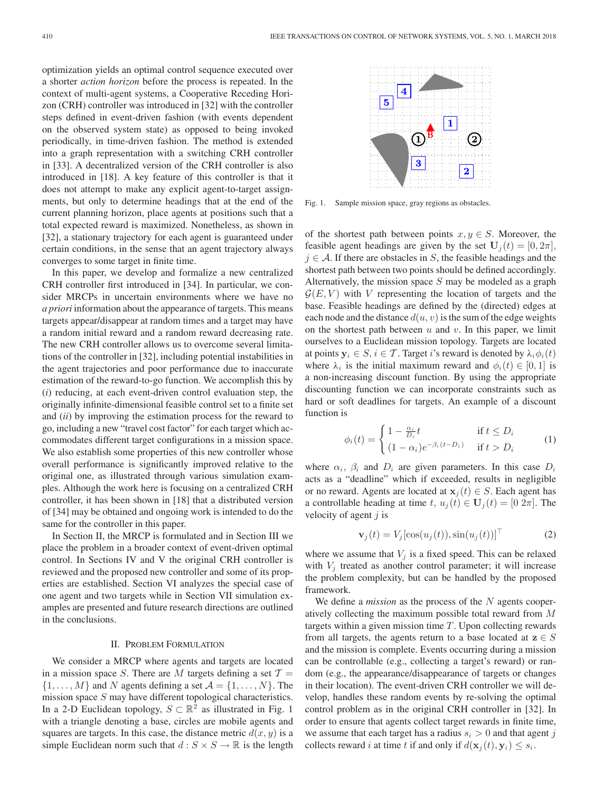optimization yields an optimal control sequence executed over a shorter *action horizon* before the process is repeated. In the context of multi-agent systems, a Cooperative Receding Horizon (CRH) controller was introduced in [32] with the controller steps defined in event-driven fashion (with events dependent on the observed system state) as opposed to being invoked periodically, in time-driven fashion. The method is extended into a graph representation with a switching CRH controller in [33]. A decentralized version of the CRH controller is also introduced in [18]. A key feature of this controller is that it does not attempt to make any explicit agent-to-target assignments, but only to determine headings that at the end of the current planning horizon, place agents at positions such that a total expected reward is maximized. Nonetheless, as shown in [32], a stationary trajectory for each agent is guaranteed under certain conditions, in the sense that an agent trajectory always converges to some target in finite time.

In this paper, we develop and formalize a new centralized CRH controller first introduced in [34]. In particular, we consider MRCPs in uncertain environments where we have no *a priori* information about the appearance of targets. This means targets appear/disappear at random times and a target may have a random initial reward and a random reward decreasing rate. The new CRH controller allows us to overcome several limitations of the controller in [32], including potential instabilities in the agent trajectories and poor performance due to inaccurate estimation of the reward-to-go function. We accomplish this by (*i*) reducing, at each event-driven control evaluation step, the originally infinite-dimensional feasible control set to a finite set and (*ii*) by improving the estimation process for the reward to go, including a new "travel cost factor" for each target which accommodates different target configurations in a mission space. We also establish some properties of this new controller whose overall performance is significantly improved relative to the original one, as illustrated through various simulation examples. Although the work here is focusing on a centralized CRH controller, it has been shown in [18] that a distributed version of [34] may be obtained and ongoing work is intended to do the same for the controller in this paper.

In Section II, the MRCP is formulated and in Section III we place the problem in a broader context of event-driven optimal control. In Sections IV and V the original CRH controller is reviewed and the proposed new controller and some of its properties are established. Section VI analyzes the special case of one agent and two targets while in Section VII simulation examples are presented and future research directions are outlined in the conclusions.

# II. PROBLEM FORMULATION

We consider a MRCP where agents and targets are located in a mission space S. There are M targets defining a set  $\mathcal{T} =$  $\{1,\ldots,M\}$  and N agents defining a set  $\mathcal{A} = \{1,\ldots,N\}$ . The mission space S may have different topological characteristics. In a 2-D Euclidean topology,  $S \subset \mathbb{R}^2$  as illustrated in Fig. 1 with a triangle denoting a base, circles are mobile agents and squares are targets. In this case, the distance metric  $d(x, y)$  is a simple Euclidean norm such that  $d : S \times S \to \mathbb{R}$  is the length



Fig. 1. Sample mission space, gray regions as obstacles.

of the shortest path between points  $x, y \in S$ . Moreover, the feasible agent headings are given by the set  $U_j(t) = [0, 2\pi]$ ,  $j \in A$ . If there are obstacles in S, the feasible headings and the shortest path between two points should be defined accordingly. Alternatively, the mission space  $S$  may be modeled as a graph  $\mathcal{G}(E,V)$  with V representing the location of targets and the base. Feasible headings are defined by the (directed) edges at each node and the distance  $d(u, v)$  is the sum of the edge weights on the shortest path between  $u$  and  $v$ . In this paper, we limit ourselves to a Euclidean mission topology. Targets are located at points  $y_i \in S$ ,  $i \in T$ . Target i's reward is denoted by  $\lambda_i \phi_i(t)$ where  $\lambda_i$  is the initial maximum reward and  $\phi_i(t) \in [0,1]$  is a non-increasing discount function. By using the appropriate discounting function we can incorporate constraints such as hard or soft deadlines for targets. An example of a discount function is

$$
\phi_i(t) = \begin{cases} 1 - \frac{\alpha_i}{D_i} t & \text{if } t \le D_i \\ (1 - \alpha_i) e^{-\beta_i (t - D_i)} & \text{if } t > D_i \end{cases}
$$
 (1)

where  $\alpha_i$ ,  $\beta_i$  and  $D_i$  are given parameters. In this case  $D_i$ acts as a "deadline" which if exceeded, results in negligible or no reward. Agents are located at  $\mathbf{x}_i(t) \in S$ . Each agent has a controllable heading at time t,  $u_i(t) \in U_i(t) = [0 \ 2\pi]$ . The velocity of agent  $j$  is

$$
\mathbf{v}_j(t) = V_j[\cos(u_j(t)), \sin(u_j(t))]^\top
$$
 (2)

where we assume that  $V_j$  is a fixed speed. This can be relaxed with  $V_j$  treated as another control parameter; it will increase the problem complexity, but can be handled by the proposed framework.

We define a *mission* as the process of the N agents cooperatively collecting the maximum possible total reward from M targets within a given mission time  $T$ . Upon collecting rewards from all targets, the agents return to a base located at  $z \in S$ and the mission is complete. Events occurring during a mission can be controllable (e.g., collecting a target's reward) or random (e.g., the appearance/disappearance of targets or changes in their location). The event-driven CRH controller we will develop, handles these random events by re-solving the optimal control problem as in the original CRH controller in [32]. In order to ensure that agents collect target rewards in finite time, we assume that each target has a radius  $s_i > 0$  and that agent j collects reward i at time t if and only if  $d(\mathbf{x}_i(t), \mathbf{y}_i) \leq s_i$ .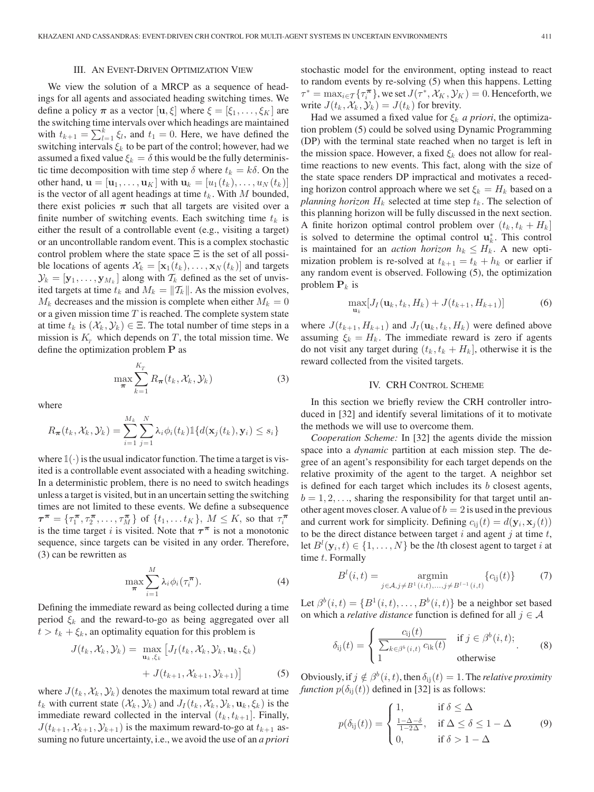#### III. AN EVENT-DRIVEN OPTIMIZATION VIEW

We view the solution of a MRCP as a sequence of headings for all agents and associated heading switching times. We define a policy  $\pi$  as a vector  $[\mathbf{u}, \xi]$  where  $\xi = [\xi_1, \dots, \xi_K]$  are the switching time intervals over which headings are maintained with  $t_{k+1} = \sum_{l=1}^{k} \xi_l$ , and  $t_1 = 0$ . Here, we have defined the switching intervals  $\xi_k$  to be part of the control; however, had we assumed a fixed value  $\xi_k = \delta$  this would be the fully deterministic time decomposition with time step  $\delta$  where  $t_k = k\delta$ . On the other hand,  $\mathbf{u} = [\mathbf{u}_1, \dots, \mathbf{u}_K]$  with  $\mathbf{u}_k = [u_1(t_k), \dots, u_N(t_k)]$ is the vector of all agent headings at time  $t_k$ . With M bounded, there exist policies  $\pi$  such that all targets are visited over a finite number of switching events. Each switching time  $t_k$  is either the result of a controllable event (e.g., visiting a target) or an uncontrollable random event. This is a complex stochastic control problem where the state space Ξ is the set of all possible locations of agents  $\mathcal{X}_k = [\mathbf{x}_1(t_k), \dots, \mathbf{x}_N(t_k)]$  and targets  $\mathcal{Y}_k = [\mathbf{y}_1, \dots, \mathbf{y}_{M_k}]$  along with  $\mathcal{T}_k$  defined as the set of unvisited targets at time  $t_k$  and  $M_k = ||\mathcal{T}_k||$ . As the mission evolves,  $M_k$  decreases and the mission is complete when either  $M_k = 0$ or a given mission time  $T$  is reached. The complete system state at time  $t_k$  is  $(\mathcal{X}_k, \mathcal{Y}_k) \in \Xi$ . The total number of time steps in a mission is  $K<sub>r</sub>$  which depends on T, the total mission time. We define the optimization problem **P** as

$$
\max_{\boldsymbol{\pi}} \sum_{k=1}^{K_T} R_{\boldsymbol{\pi}}(t_k, \mathcal{X}_k, \mathcal{Y}_k)
$$
\n(3)

where

$$
R_{\boldsymbol{\pi}}(t_k, \mathcal{X}_k, \mathcal{Y}_k) = \sum_{i=1}^{M_k} \sum_{j=1}^N \lambda_i \phi_i(t_k) \mathbb{1}\{d(\mathbf{x}_j(t_k), \mathbf{y}_i) \leq s_i\}
$$

where  $\mathbb{1}(\cdot)$  is the usual indicator function. The time a target is visited is a controllable event associated with a heading switching. In a deterministic problem, there is no need to switch headings unless a target is visited, but in an uncertain setting the switching times are not limited to these events. We define a subsequence  $\tau^{\pi} = \{\tau_1^{\pi}, \tau_2^{\pi}, \ldots, \tau_M^{\pi}\}\$  of  $\{t_1, \ldots t_K\}, M \leq K$ , so that  $\tau_i^{\pi}$ is the time target i is visited. Note that  $\tau^{\pi}$  is not a monotonic sequence, since targets can be visited in any order. Therefore, (3) can be rewritten as

$$
\max_{\boldsymbol{\pi}} \sum_{i=1}^{M} \lambda_i \phi_i(\tau_i^{\boldsymbol{\pi}}). \tag{4}
$$

Defining the immediate reward as being collected during a time period  $\xi_k$  and the reward-to-go as being aggregated over all  $t > t_k + \xi_k$ , an optimality equation for this problem is

$$
J(t_k, \mathcal{X}_k, \mathcal{Y}_k) = \max_{\mathbf{u}_k, \xi_k} \left[ J_I(t_k, \mathcal{X}_k, \mathcal{Y}_k, \mathbf{u}_k, \xi_k) + J(t_{k+1}, \mathcal{X}_{k+1}, \mathcal{Y}_{k+1}) \right]
$$
(5)

where  $J(t_k, \mathcal{X}_k, \mathcal{Y}_k)$  denotes the maximum total reward at time  $t_k$  with current state  $(\mathcal{X}_k, \mathcal{Y}_k)$  and  $J_I(t_k, \mathcal{X}_k, \mathcal{Y}_k, \mathbf{u}_k, \xi_k)$  is the immediate reward collected in the interval  $(t_k, t_{k+1}]$ . Finally,  $J(t_{k+1}, \mathcal{X}_{k+1}, \mathcal{Y}_{k+1})$  is the maximum reward-to-go at  $t_{k+1}$  assuming no future uncertainty, i.e., we avoid the use of an *a priori* stochastic model for the environment, opting instead to react to random events by re-solving (5) when this happens. Letting  $\tau^* = \max_{i \in \mathcal{I}} \{\tau_i^{\pi}\},\}$ , we set  $J(\tau^*, \mathcal{X}_K, \mathcal{Y}_K) = 0.$  Henceforth, we write  $J(t_k, \mathcal{X}_k, \mathcal{Y}_k) = J(t_k)$  for brevity.

Had we assumed a fixed value for  $\xi_k$  *a priori*, the optimization problem (5) could be solved using Dynamic Programming (DP) with the terminal state reached when no target is left in the mission space. However, a fixed  $\xi_k$  does not allow for realtime reactions to new events. This fact, along with the size of the state space renders DP impractical and motivates a receding horizon control approach where we set  $\xi_k = H_k$  based on a *planning horizon*  $H_k$  selected at time step  $t_k$ . The selection of this planning horizon will be fully discussed in the next section. A finite horizon optimal control problem over  $(t_k, t_k + H_k)$ is solved to determine the optimal control  $\mathbf{u}_k^*$ . This control is maintained for an *action horizon*  $h_k \leq H_k$ . A new optimization problem is re-solved at  $t_{k+1} = t_k + h_k$  or earlier if any random event is observed. Following (5), the optimization problem  $P_k$  is

$$
\max_{\mathbf{u}_{k}}[J_{I}(\mathbf{u}_{k},t_{k},H_{k})+J(t_{k+1},H_{k+1})] \tag{6}
$$

where  $J(t_{k+1}, H_{k+1})$  and  $J_I(\mathbf{u}_k, t_k, H_k)$  were defined above assuming  $\xi_k = H_k$ . The immediate reward is zero if agents do not visit any target during  $(t_k, t_k + H_k]$ , otherwise it is the reward collected from the visited targets.

# IV. CRH CONTROL SCHEME

In this section we briefly review the CRH controller introduced in [32] and identify several limitations of it to motivate the methods we will use to overcome them.

*Cooperation Scheme:* In [32] the agents divide the mission space into a *dynamic* partition at each mission step. The degree of an agent's responsibility for each target depends on the relative proximity of the agent to the target. A neighbor set is defined for each target which includes its b closest agents,  $b = 1, 2, \ldots$ , sharing the responsibility for that target until another agent moves closer. A value of  $b = 2$  is used in the previous and current work for simplicity. Defining  $c_{ij}(t) = d(\mathbf{y}_i, \mathbf{x}_j(t))$ to be the direct distance between target  $i$  and agent  $j$  at time  $t$ , let  $B^l(\mathbf{y}_i, t) \in \{1, ..., N\}$  be the *l*th closest agent to target *i* at time t. Formally

$$
B^{l}(i,t) = \underset{j \in A, j \neq B^{1}(i,t), \dots, j \neq B^{l-1}(i,t)}{\operatorname{argmin}} \{c_{ij}(t)\}
$$
(7)

Let  $\beta^b(i, t) = \{B^1(i, t), \ldots, B^b(i, t)\}\$  be a neighbor set based on which a *relative distance* function is defined for all  $j \in A$ 

$$
\delta_{ij}(t) = \begin{cases} \frac{c_{ij}(t)}{\sum_{k \in \beta^b(i,t)} c_{ik}(t)} & \text{if } j \in \beta^b(i,t); \\ 1 & \text{otherwise} \end{cases}
$$
 (8)

Obviously, if  $j \notin \beta^b(i, t)$ , then  $\delta_{ii}(t)=1$ . The *relative proximity function*  $p(\delta_{ii}(t))$  defined in [32] is as follows:

$$
p(\delta_{ij}(t)) = \begin{cases} 1, & \text{if } \delta \leq \Delta \\ \frac{1-\Delta-\delta}{1-2\Delta}, & \text{if } \Delta \leq \delta \leq 1-\Delta \\ 0, & \text{if } \delta > 1-\Delta \end{cases}
$$
 (9)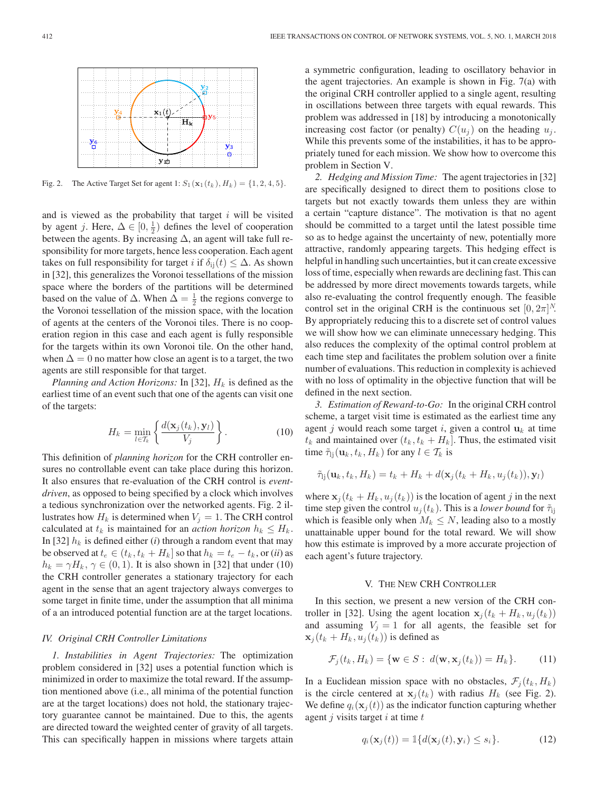

Fig. 2. The Active Target Set for agent 1:  $S_1$  ( $\mathbf{x}_1$  ( $t_k$ ),  $H_k$ ) = {1, 2, 4, 5}.

and is viewed as the probability that target  $i$  will be visited by agent *j*. Here,  $\Delta \in [0, \frac{1}{2})$  defines the level of cooperation between the agents. By increasing  $\Delta$ , an agent will take full responsibility for more targets, hence less cooperation. Each agent takes on full responsibility for target i if  $\delta_{ii}(t) \leq \Delta$ . As shown in [32], this generalizes the Voronoi tessellations of the mission space where the borders of the partitions will be determined based on the value of  $\Delta$ . When  $\Delta = \frac{1}{2}$  the regions converge to the Voronoi tessellation of the mission space, with the location of agents at the centers of the Voronoi tiles. There is no cooperation region in this case and each agent is fully responsible for the targets within its own Voronoi tile. On the other hand, when  $\Delta=0$  no matter how close an agent is to a target, the two agents are still responsible for that target.

*Planning and Action Horizons:* In [32],  $H_k$  is defined as the earliest time of an event such that one of the agents can visit one of the targets:

$$
H_k = \min_{l \in \mathcal{T}_k} \left\{ \frac{d(\mathbf{x}_j(t_k), \mathbf{y}_l)}{V_j} \right\}.
$$
 (10)

This definition of *planning horizon* for the CRH controller ensures no controllable event can take place during this horizon. It also ensures that re-evaluation of the CRH control is *eventdriven*, as opposed to being specified by a clock which involves a tedious synchronization over the networked agents. Fig. 2 illustrates how  $H_k$  is determined when  $V_j = 1$ . The CRH control calculated at  $t_k$  is maintained for an *action horizon*  $h_k \leq H_k$ . In [32]  $h_k$  is defined either (*i*) through a random event that may be observed at  $t_e \in (t_k, t_k + H_k]$  so that  $h_k = t_e - t_k$ , or (*ii*) as  $h_k = \gamma H_k$ ,  $\gamma \in (0, 1)$ . It is also shown in [32] that under (10) the CRH controller generates a stationary trajectory for each agent in the sense that an agent trajectory always converges to some target in finite time, under the assumption that all minima of a an introduced potential function are at the target locations.

### *IV. Original CRH Controller Limitations*

*1. Instabilities in Agent Trajectories:* The optimization problem considered in [32] uses a potential function which is minimized in order to maximize the total reward. If the assumption mentioned above (i.e., all minima of the potential function are at the target locations) does not hold, the stationary trajectory guarantee cannot be maintained. Due to this, the agents are directed toward the weighted center of gravity of all targets. This can specifically happen in missions where targets attain a symmetric configuration, leading to oscillatory behavior in the agent trajectories. An example is shown in Fig. 7(a) with the original CRH controller applied to a single agent, resulting in oscillations between three targets with equal rewards. This problem was addressed in [18] by introducing a monotonically increasing cost factor (or penalty)  $C(u_i)$  on the heading  $u_i$ . While this prevents some of the instabilities, it has to be appropriately tuned for each mission. We show how to overcome this problem in Section V.

*2. Hedging and Mission Time:* The agent trajectories in [32] are specifically designed to direct them to positions close to targets but not exactly towards them unless they are within a certain "capture distance". The motivation is that no agent should be committed to a target until the latest possible time so as to hedge against the uncertainty of new, potentially more attractive, randomly appearing targets. This hedging effect is helpful in handling such uncertainties, but it can create excessive loss of time, especially when rewards are declining fast. This can be addressed by more direct movements towards targets, while also re-evaluating the control frequently enough. The feasible control set in the original CRH is the continuous set  $[0, 2\pi]^N$ . By appropriately reducing this to a discrete set of control values we will show how we can eliminate unnecessary hedging. This also reduces the complexity of the optimal control problem at each time step and facilitates the problem solution over a finite number of evaluations. This reduction in complexity is achieved with no loss of optimality in the objective function that will be defined in the next section.

*3. Estimation of Reward-to-Go:* In the original CRH control scheme, a target visit time is estimated as the earliest time any agent j would reach some target i, given a control  $\mathbf{u}_k$  at time  $t_k$  and maintained over  $(t_k, t_k + H_k]$ . Thus, the estimated visit time  $\tilde{\tau}_{li}(\mathbf{u}_k, t_k, H_k)$  for any  $l \in \mathcal{T}_k$  is

$$
\tilde{\tau}_{lj}(\mathbf{u}_k, t_k, H_k) = t_k + H_k + d(\mathbf{x}_j(t_k + H_k, u_j(t_k)), \mathbf{y}_l)
$$

where  $\mathbf{x}_j(t_k + H_k, u_j(t_k))$  is the location of agent j in the next time step given the control  $u_j(t_k)$ . This is a *lower bound* for  $\tilde{\tau}_{ij}$ which is feasible only when  $M_k \leq N$ , leading also to a mostly unattainable upper bound for the total reward. We will show how this estimate is improved by a more accurate projection of each agent's future trajectory.

## V. THE NEW CRH CONTROLLER

In this section, we present a new version of the CRH controller in [32]. Using the agent location  $\mathbf{x}_j(t_k + H_k, u_j(t_k))$ and assuming  $V_j = 1$  for all agents, the feasible set for  $\mathbf{x}_j(t_k + H_k, u_j(t_k))$  is defined as

$$
\mathcal{F}_j(t_k, H_k) = \{ \mathbf{w} \in S : d(\mathbf{w}, \mathbf{x}_j(t_k)) = H_k \}. \tag{11}
$$

In a Euclidean mission space with no obstacles,  $\mathcal{F}_j(t_k, H_k)$ is the circle centered at  $x_i(t_k)$  with radius  $H_k$  (see Fig. 2). We define  $q_i(\mathbf{x}_i(t))$  as the indicator function capturing whether agent  $j$  visits target  $i$  at time  $t$ 

$$
q_i(\mathbf{x}_j(t)) = \mathbb{1}\{d(\mathbf{x}_j(t), \mathbf{y}_i) \le s_i\}.
$$
 (12)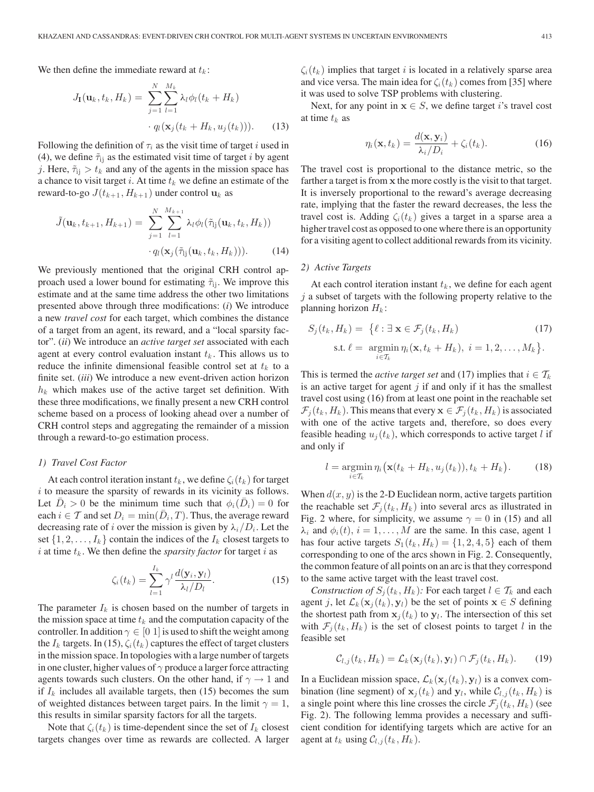We then define the immediate reward at  $t_k$ :

$$
J_{\mathbf{I}}(\mathbf{u}_k, t_k, H_k) = \sum_{j=1}^{N} \sum_{l=1}^{M_k} \lambda_l \phi_l(t_k + H_k)
$$

$$
\cdot q_l(\mathbf{x}_j(t_k + H_k, u_j(t_k))). \qquad (13)
$$

Following the definition of  $\tau_i$  as the visit time of target i used in (4), we define  $\tilde{\tau}_{ij}$  as the estimated visit time of target i by agent j. Here,  $\tilde{\tau}_{ij} > t_k$  and any of the agents in the mission space has a chance to visit target i. At time  $t_k$  we define an estimate of the reward-to-go  $J(t_{k+1}, H_{k+1})$  under control  $\mathbf{u}_k$  as

$$
\tilde{J}(\mathbf{u}_k, t_{k+1}, H_{k+1}) = \sum_{j=1}^N \sum_{l=1}^{M_{k+1}} \lambda_l \phi_l(\tilde{\tau}_{lj}(\mathbf{u}_k, t_k, H_k))
$$

$$
\cdot q_l(\mathbf{x}_j(\tilde{\tau}_{lj}(\mathbf{u}_k, t_k, H_k))).
$$
(14)

We previously mentioned that the original CRH control approach used a lower bound for estimating  $\tilde{\tau}_{ij}$ . We improve this estimate and at the same time address the other two limitations presented above through three modifications: (*i*) We introduce a new *travel cost* for each target, which combines the distance of a target from an agent, its reward, and a "local sparsity factor". (*ii*) We introduce an *active target set* associated with each agent at every control evaluation instant  $t_k$ . This allows us to reduce the infinite dimensional feasible control set at  $t_k$  to a finite set. (*iii*) We introduce a new event-driven action horizon  $h_k$  which makes use of the active target set definition. With these three modifications, we finally present a new CRH control scheme based on a process of looking ahead over a number of CRH control steps and aggregating the remainder of a mission through a reward-to-go estimation process.

#### *1) Travel Cost Factor*

At each control iteration instant  $t_k$ , we define  $\zeta_i(t_k)$  for target  $i$  to measure the sparsity of rewards in its vicinity as follows. Let  $D_i > 0$  be the minimum time such that  $\phi_i(D_i)=0$  for each  $i \in \mathcal{T}$  and set  $D_i = \min(D_i, T)$ . Thus, the average reward decreasing rate of i over the mission is given by  $\lambda_i/D_i$ . Let the set  $\{1, 2, \ldots, I_k\}$  contain the indices of the  $I_k$  closest targets to i at time  $t_k$ . We then define the *sparsity factor* for target i as

$$
\zeta_i(t_k) = \sum_{l=1}^{I_k} \gamma^l \frac{d(\mathbf{y}_i, \mathbf{y}_l)}{\lambda_l/D_l}.
$$
\n(15)

The parameter  $I_k$  is chosen based on the number of targets in the mission space at time  $t_k$  and the computation capacity of the controller. In addition  $\gamma \in [0 \ 1]$  is used to shift the weight among the  $I_k$  targets. In (15),  $\zeta_i(t_k)$  captures the effect of target clusters in the mission space. In topologies with a large number of targets in one cluster, higher values of  $\gamma$  produce a larger force attracting agents towards such clusters. On the other hand, if  $\gamma \rightarrow 1$  and if  $I_k$  includes all available targets, then (15) becomes the sum of weighted distances between target pairs. In the limit  $\gamma = 1$ , this results in similar sparsity factors for all the targets.

Note that  $\zeta_i(t_k)$  is time-dependent since the set of  $I_k$  closest targets changes over time as rewards are collected. A larger  $\zeta_i(t_k)$  implies that target i is located in a relatively sparse area and vice versa. The main idea for  $\zeta_i(t_k)$  comes from [35] where it was used to solve TSP problems with clustering.

Next, for any point in  $x \in S$ , we define target i's travel cost at time  $t_k$  as

$$
\eta_i(\mathbf{x}, t_k) = \frac{d(\mathbf{x}, \mathbf{y}_i)}{\lambda_i/D_i} + \zeta_i(t_k). \tag{16}
$$

The travel cost is proportional to the distance metric, so the farther a target is from **x** the more costly is the visit to that target. It is inversely proportional to the reward's average decreasing rate, implying that the faster the reward decreases, the less the travel cost is. Adding  $\zeta_i(t_k)$  gives a target in a sparse area a higher travel cost as opposed to one where there is an opportunity for a visiting agent to collect additional rewards from its vicinity.

## *2) Active Targets*

At each control iteration instant  $t_k$ , we define for each agent  $j$  a subset of targets with the following property relative to the planning horizon  $H_k$ :

$$
S_j(t_k, H_k) = \{ \ell : \exists \mathbf{x} \in \mathcal{F}_j(t_k, H_k) \tag{17}
$$
  
s.t.  $\ell = \operatorname*{argmin}_{i \in \mathcal{T}_k} \eta_i(\mathbf{x}, t_k + H_k), i = 1, 2, ..., M_k \}.$ 

This is termed the *active target set* and (17) implies that  $i \in \mathcal{T}_k$ is an active target for agent  $j$  if and only if it has the smallest travel cost using (16) from at least one point in the reachable set  $\mathcal{F}_i(t_k, H_k)$ . This means that every  $\mathbf{x} \in \mathcal{F}_i(t_k, H_k)$  is associated with one of the active targets and, therefore, so does every feasible heading  $u_i(t_k)$ , which corresponds to active target l if and only if

$$
l = \operatorname*{argmin}_{i \in \mathcal{T}_k} \eta_i \big( \mathbf{x}(t_k + H_k, u_j(t_k)), t_k + H_k \big). \tag{18}
$$

When  $d(x, y)$  is the 2-D Euclidean norm, active targets partition the reachable set  $\mathcal{F}_j(t_k, H_k)$  into several arcs as illustrated in Fig. 2 where, for simplicity, we assume  $\gamma = 0$  in (15) and all  $\lambda_i$  and  $\phi_i(t)$ ,  $i = 1, \dots, M$  are the same. In this case, agent 1 has four active targets  $S_1(t_k, H_k) = \{1, 2, 4, 5\}$  each of them corresponding to one of the arcs shown in Fig. 2. Consequently, the common feature of all points on an arc is that they correspond to the same active target with the least travel cost.

*Construction of*  $S_i(t_k, H_k)$ : For each target  $l \in \mathcal{T}_k$  and each agent j, let  $\mathcal{L}_k(\mathbf{x}_j(t_k), \mathbf{y}_l)$  be the set of points  $\mathbf{x} \in S$  defining the shortest path from  $x_i(t_k)$  to  $y_l$ . The intersection of this set with  $\mathcal{F}_j(t_k, H_k)$  is the set of closest points to target l in the feasible set

$$
\mathcal{C}_{l,j}(t_k, H_k) = \mathcal{L}_k(\mathbf{x}_j(t_k), \mathbf{y}_l) \cap \mathcal{F}_j(t_k, H_k).
$$
 (19)

In a Euclidean mission space,  $\mathcal{L}_k(\mathbf{x}_j(t_k), \mathbf{y}_l)$  is a convex combination (line segment) of  $\mathbf{x}_j(t_k)$  and  $\mathbf{y}_l$ , while  $\mathcal{C}_{l,j}(t_k, H_k)$  is a single point where this line crosses the circle  $\mathcal{F}_i(t_k, H_k)$  (see Fig. 2). The following lemma provides a necessary and sufficient condition for identifying targets which are active for an agent at  $t_k$  using  $C_{l,j}(t_k, H_k)$ .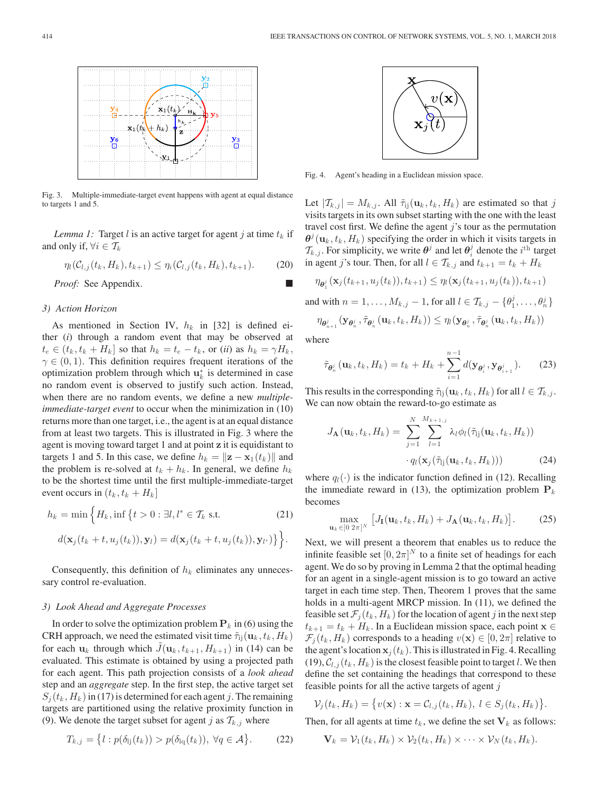

Fig. 3. Multiple-immediate-target event happens with agent at equal distance to targets 1 and 5.

*Lemma 1:* Target l is an active target for agent j at time  $t_k$  if and only if,  $\forall i \in \mathcal{T}_k$ 

$$
\eta_l(\mathcal{C}_{l,j}(t_k, H_k), t_{k+1}) \leq \eta_i(\mathcal{C}_{l,j}(t_k, H_k), t_{k+1}).
$$
 (20)

*Proof:* See Appendix. ■

## *3) Action Horizon*

As mentioned in Section IV,  $h_k$  in [32] is defined either (*i*) through a random event that may be observed at  $t_e \in (t_k, t_k + H_k]$  so that  $h_k = t_e - t_k$ , or *(ii)* as  $h_k = \gamma H_k$ ,  $\gamma \in (0, 1)$ . This definition requires frequent iterations of the optimization problem through which  $\mathbf{u}_k^*$  is determined in case no random event is observed to justify such action. Instead, when there are no random events, we define a new *multipleimmediate-target event* to occur when the minimization in (10) returns more than one target, i.e., the agent is at an equal distance from at least two targets. This is illustrated in Fig. 3 where the agent is moving toward target 1 and at point **z** it is equidistant to targets 1 and 5. In this case, we define  $h_k = ||\mathbf{z} - \mathbf{x}_1(t_k)||$  and the problem is re-solved at  $t_k + h_k$ . In general, we define  $h_k$ to be the shortest time until the first multiple-immediate-target event occurs in  $(t_k, t_k + H_k]$ 

$$
h_k = \min\left\{H_k, \inf\left\{t > 0 : \exists l, l^* \in \mathcal{T}_k \text{ s.t. } (21)
$$
\n
$$
d(\mathbf{x}_j(t_k + t, u_j(t_k)), \mathbf{y}_l) = d(\mathbf{x}_j(t_k + t, u_j(t_k)), \mathbf{y}_{l^*})\right\}.
$$

Consequently, this definition of  $h_k$  eliminates any unnecessary control re-evaluation.

#### *3) Look Ahead and Aggregate Processes*

In order to solve the optimization problem  $P_k$  in (6) using the CRH approach, we need the estimated visit time  $\tilde{\tau}_{ij}(\mathbf{u}_k, t_k, H_k)$ for each  $\mathbf{u}_k$  through which  $\mathbf{J}(\mathbf{u}_k, t_{k+1}, H_{k+1})$  in (14) can be evaluated. This estimate is obtained by using a projected path for each agent. This path projection consists of a *look ahead* step and an *aggregate* step. In the first step, the active target set  $S_i(t_k, H_k)$  in (17) is determined for each agent j. The remaining targets are partitioned using the relative proximity function in (9). We denote the target subset for agent j as  $T_{k,j}$  where

$$
T_{k,j} = \{l : p(\delta_{lj}(t_k)) > p(\delta_{lq}(t_k)), \forall q \in \mathcal{A}\}.
$$
 (22)



Fig. 4. Agent's heading in a Euclidean mission space.

Let  $|\mathcal{T}_{k,j}| = M_{k,j}$ . All  $\tilde{\tau}_{ij}(\mathbf{u}_k, t_k, H_k)$  are estimated so that j visits targets in its own subset starting with the one with the least travel cost first. We define the agent  $j$ 's tour as the permutation  $\theta^j(\mathbf{u}_k, t_k, H_k)$  specifying the order in which it visits targets in  $\mathcal{T}_{k,j}$ . For simplicity, we write  $\theta^j$  and let  $\theta_i^j$  denote the *i*<sup>th</sup> target in agent j's tour. Then, for all  $l \in \mathcal{T}_{k,j}$  and  $t_{k+1} = t_k + H_k$ 

$$
\eta_{\theta_1^j}(\mathbf{x}_j(t_{k+1},u_j(t_k)),t_{k+1}) \leq \eta_l(\mathbf{x}_j(t_{k+1},u_j(t_k)),t_{k+1})
$$

and with 
$$
n = 1, ..., M_{k,j} - 1
$$
, for all  $l \in \mathcal{T}_{k,j} - \{\theta_1^j, ..., \theta_n^j\}$   
\n
$$
\eta_{\theta_{n+1}^j}(\mathbf{y}_{\theta_n^j}, \tilde{\tau}_{\theta_n^j}(\mathbf{u}_k, t_k, H_k)) \leq \eta_l(\mathbf{y}_{\theta_n^j}, \tilde{\tau}_{\theta_n^j}(\mathbf{u}_k, t_k, H_k))
$$

where

$$
\tilde{\tau}_{\boldsymbol{\theta}_n^j}(\mathbf{u}_k, t_k, H_k) = t_k + H_k + \sum_{i=1}^{n-1} d(\mathbf{y}_{\boldsymbol{\theta}_i^j}, \mathbf{y}_{\boldsymbol{\theta}_{i+1}^j}).
$$
 (23)

This results in the corresponding  $\tilde{\tau}_{li}(\mathbf{u}_k, t_k, H_k)$  for all  $l \in \mathcal{T}_{k,i}$ . We can now obtain the reward-to-go estimate as

$$
J_{\mathbf{A}}(\mathbf{u}_k, t_k, H_k) = \sum_{j=1}^{N} \sum_{l=1}^{M_{k+1,j}} \lambda_l \phi_l(\tilde{\tau}_{lj}(\mathbf{u}_k, t_k, H_k))
$$

$$
\cdot q_l(\mathbf{x}_j(\tilde{\tau}_{lj}(\mathbf{u}_k, t_k, H_k))) \qquad (24)
$$

where  $q_l(\cdot)$  is the indicator function defined in (12). Recalling the immediate reward in (13), the optimization problem  $P_k$ becomes

$$
\max_{\mathbf{u}_{k}\in[0\ 2\pi]^{N}}\left[J_{\mathbf{I}}(\mathbf{u}_{k},t_{k},H_{k})+J_{\mathbf{A}}(\mathbf{u}_{k},t_{k},H_{k})\right].
$$
 (25)

Next, we will present a theorem that enables us to reduce the infinite feasible set  $[0, 2\pi]^N$  to a finite set of headings for each agent. We do so by proving in Lemma 2 that the optimal heading for an agent in a single-agent mission is to go toward an active target in each time step. Then, Theorem 1 proves that the same holds in a multi-agent MRCP mission. In (11), we defined the feasible set  $\mathcal{F}_i(t_k, H_k)$  for the location of agent j in the next step  $t_{k+1} = t_k + H_k$ . In a Euclidean mission space, each point **x** ∈  $\mathcal{F}_i(t_k, H_k)$  corresponds to a heading  $v(\mathbf{x}) \in [0, 2\pi]$  relative to the agent's location  $\mathbf{x}_i(t_k)$ . This is illustrated in Fig. 4. Recalling  $(19), C_{l,i}(t_k, H_k)$  is the closest feasible point to target l. We then define the set containing the headings that correspond to these feasible points for all the active targets of agent  $j$ 

$$
\mathcal{V}_j(t_k, H_k) = \big\{ v(\mathbf{x}) : \mathbf{x} = \mathcal{C}_{l,j}(t_k, H_k), \ l \in S_j(t_k, H_k) \big\}.
$$

Then, for all agents at time  $t_k$ , we define the set  $V_k$  as follows:

$$
\mathbf{V}_k = \mathcal{V}_1(t_k, H_k) \times \mathcal{V}_2(t_k, H_k) \times \cdots \times \mathcal{V}_N(t_k, H_k).
$$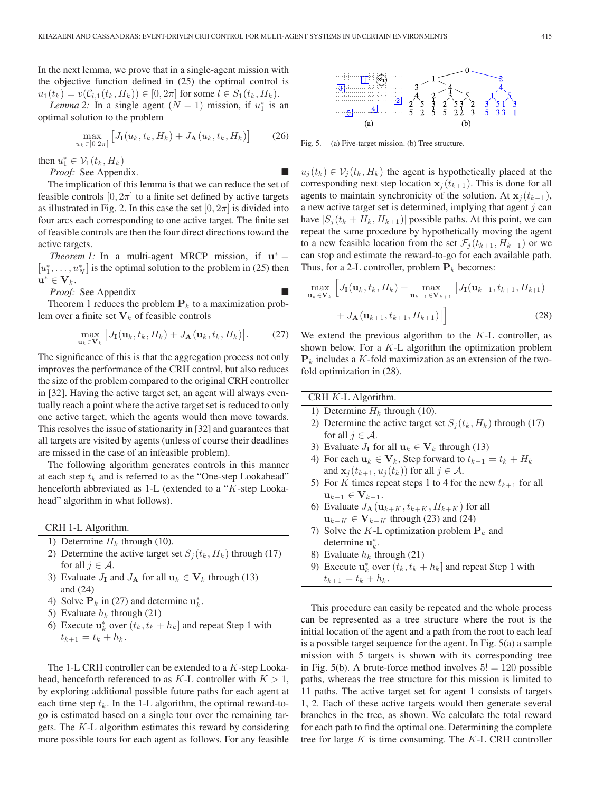In the next lemma, we prove that in a single-agent mission with the objective function defined in (25) the optimal control is  $u_1(t_k) = v(C_{l,1}(t_k, H_k)) \in [0, 2\pi]$  for some  $l \in S_1(t_k, H_k)$ .

*Lemma 2:* In a single agent  $(N = 1)$  mission, if  $u_1^*$  is an optimal solution to the problem

$$
\max_{u_k \in [0\ 2\pi]} \left[ J_{\mathbf{I}}(u_k, t_k, H_k) + J_{\mathbf{A}}(u_k, t_k, H_k) \right] \tag{26}
$$

then  $u_1^* \in \mathcal{V}_1(t_k, H_k)$ 

*Proof:* See Appendix.

The implication of this lemma is that we can reduce the set of feasible controls  $[0, 2\pi]$  to a finite set defined by active targets as illustrated in Fig. 2. In this case the set  $[0, 2\pi]$  is divided into four arcs each corresponding to one active target. The finite set of feasible controls are then the four direct directions toward the active targets.

*Theorem 1:* In a multi-agent MRCP mission, if  $u^* =$  $[u_1^*, \ldots, u_N^*]$  is the optimal solution to the problem in (25) then  $\mathbf{u}^* \in \mathbf{V}_k$ .

*Proof:* See Appendix

Theorem 1 reduces the problem  $P_k$  to a maximization problem over a finite set  $V_k$  of feasible controls

$$
\max_{\mathbf{u}_k \in \mathbf{V}_k} [J_{\mathbf{I}}(\mathbf{u}_k, t_k, H_k) + J_{\mathbf{A}}(\mathbf{u}_k, t_k, H_k)].
$$
 (27)

The significance of this is that the aggregation process not only improves the performance of the CRH control, but also reduces the size of the problem compared to the original CRH controller in [32]. Having the active target set, an agent will always eventually reach a point where the active target set is reduced to only one active target, which the agents would then move towards. This resolves the issue of stationarity in [32] and guarantees that all targets are visited by agents (unless of course their deadlines are missed in the case of an infeasible problem).

The following algorithm generates controls in this manner at each step  $t_k$  and is referred to as the "One-step Lookahead" henceforth abbreviated as 1-L (extended to a "K-step Lookahead" algorithm in what follows).

CRH 1-L Algorithm.

- 1) Determine  $H_k$  through (10).
- 2) Determine the active target set  $S_i(t_k, H_k)$  through (17) for all  $j \in A$ .
- 3) Evaluate  $J_{\mathbf{I}}$  and  $J_{\mathbf{A}}$  for all  $\mathbf{u}_k \in \mathbf{V}_k$  through (13) and (24)
- 4) Solve  $P_k$  in (27) and determine  $u_k^*$ .
- 5) Evaluate  $h_k$  through (21)
- 6) Execute  $\mathbf{u}_k^*$  over  $(t_k, t_k + h_k]$  and repeat Step 1 with  $t_{k+1} = t_k + h_k$ .

The 1-L CRH controller can be extended to a K-step Lookahead, henceforth referenced to as K-L controller with  $K > 1$ , by exploring additional possible future paths for each agent at each time step  $t_k$ . In the 1-L algorithm, the optimal reward-togo is estimated based on a single tour over the remaining targets. The K-L algorithm estimates this reward by considering more possible tours for each agent as follows. For any feasible



Fig. 5. (a) Five-target mission. (b) Tree structure.

 $u_i(t_k) \in \mathcal{V}_i(t_k, H_k)$  the agent is hypothetically placed at the corresponding next step location  $\mathbf{x}_i(t_{k+1})$ . This is done for all agents to maintain synchronicity of the solution. At  $\mathbf{x}_j(t_{k+1}),$ a new active target set is determined, implying that agent  $j$  can have  $|S_i(t_k + H_k, H_{k+1})|$  possible paths. At this point, we can repeat the same procedure by hypothetically moving the agent to a new feasible location from the set  $\mathcal{F}_j(t_{k+1}, H_{k+1})$  or we can stop and estimate the reward-to-go for each available path. Thus, for a 2-L controller, problem  $P_k$  becomes:

$$
\max_{\mathbf{u}_{k} \in \mathbf{V}_{k}} \left[ J_{\mathbf{I}}(\mathbf{u}_{k}, t_{k}, H_{k}) + \max_{\mathbf{u}_{k+1} \in \mathbf{V}_{k+1}} \left[ J_{\mathbf{I}}(\mathbf{u}_{k+1}, t_{k+1}, H_{k+1}) + J_{\mathbf{A}}(\mathbf{u}_{k+1}, t_{k+1}, H_{k+1}) \right] \right]
$$
(28)

We extend the previous algorithm to the  $K-L$  controller, as shown below. For a  $K$ -L algorithm the optimization problem  $P_k$  includes a K-fold maximization as an extension of the twofold optimization in (28).

CRH K-L Algorithm.

- 1) Determine  $H_k$  through (10). 2) Determine the active target set  $S_i(t_k, H_k)$  through (17) for all  $j \in A$ .
- 3) Evaluate  $J_{\text{I}}$  for all  $\mathbf{u}_k \in \mathbf{V}_k$  through (13)
- 4) For each  $\mathbf{u}_k \in \mathbf{V}_k$ , Step forward to  $t_{k+1} = t_k + H_k$ and  $\mathbf{x}_j(t_{k+1}, u_j(t_k))$  for all  $j \in \mathcal{A}$ .
- 5) For K times repeat steps 1 to 4 for the new  $t_{k+1}$  for all **u**<sub>k+1</sub> ∈ **V**<sub>k+1</sub>.
- 6) Evaluate  $J_{\mathbf{A}}(\mathbf{u}_{k+K}, t_{k+K}, H_{k+K})$  for all  $\mathbf{u}_{k+K} \in \mathbf{V}_{k+K}$  through (23) and (24)
- 7) Solve the K-L optimization problem  $P_k$  and determine  $\mathbf{u}_k^*$ .
- 8) Evaluate  $h_k$  through (21)
- 9) Execute  $\mathbf{u}_k^*$  over  $(t_k, t_k + h_k]$  and repeat Step 1 with  $t_{k+1} = t_k + h_k$ .

This procedure can easily be repeated and the whole process can be represented as a tree structure where the root is the initial location of the agent and a path from the root to each leaf is a possible target sequence for the agent. In Fig. 5(a) a sample mission with 5 targets is shown with its corresponding tree in Fig.  $5(b)$ . A brute-force method involves  $5! = 120$  possible paths, whereas the tree structure for this mission is limited to 11 paths. The active target set for agent 1 consists of targets 1, 2. Each of these active targets would then generate several branches in the tree, as shown. We calculate the total reward for each path to find the optimal one. Determining the complete tree for large  $K$  is time consuming. The  $K-L$  CRH controller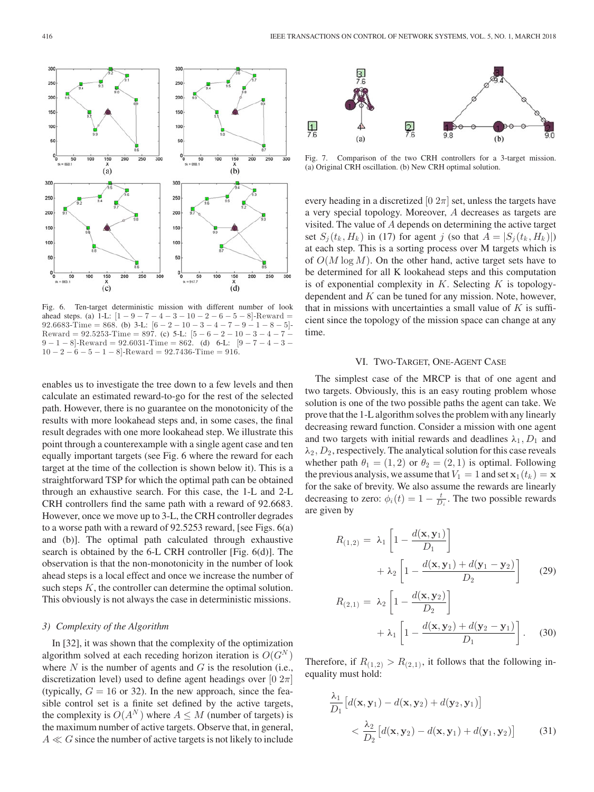

Fig. 6. Ten-target deterministic mission with different number of look ahead steps. (a) 1-L:  $[1 - 9 - 7 - 4 - 3 - 10 - 2 - 6 - 5 - 8]$ -Reward = 92.6683-Time = 868. (b) 3-L:  $[6 - 2 - 10 - 3 - 4 - 7 - 9 - 1 - 8 - 5]$ -Reward = 92.5253-Time = 897. (c) 5-L:  $[5 - 6 - 2 - 10 - 3 - 4 - 7 9 - 1 - 8$ . Reward = 92.6031-Time = 862. (d) 6-L:  $[9 - 7 - 4 - 3 - 1]$  $10 - 2 - 6 - 5 - 1 - 8$ . Reward = 92.7436-Time = 916.

enables us to investigate the tree down to a few levels and then calculate an estimated reward-to-go for the rest of the selected path. However, there is no guarantee on the monotonicity of the results with more lookahead steps and, in some cases, the final result degrades with one more lookahead step. We illustrate this point through a counterexample with a single agent case and ten equally important targets (see Fig. 6 where the reward for each target at the time of the collection is shown below it). This is a straightforward TSP for which the optimal path can be obtained through an exhaustive search. For this case, the 1-L and 2-L CRH controllers find the same path with a reward of 92.6683. However, once we move up to 3-L, the CRH controller degrades to a worse path with a reward of 92.5253 reward, [see Figs. 6(a) and (b)]. The optimal path calculated through exhaustive search is obtained by the 6-L CRH controller [Fig. 6(d)]. The observation is that the non-monotonicity in the number of look ahead steps is a local effect and once we increase the number of such steps K, the controller can determine the optimal solution. This obviously is not always the case in deterministic missions.

# *3) Complexity of the Algorithm*

In [32], it was shown that the complexity of the optimization algorithm solved at each receding horizon iteration is  $O(G^N)$ where  $N$  is the number of agents and  $G$  is the resolution (i.e., discretization level) used to define agent headings over  $[0 \ 2\pi]$ (typically,  $G = 16$  or 32). In the new approach, since the feasible control set is a finite set defined by the active targets, the complexity is  $O(A^N)$  where  $A \leq M$  (number of targets) is the maximum number of active targets. Observe that, in general,  $A \ll G$  since the number of active targets is not likely to include



Fig. 7. Comparison of the two CRH controllers for a 3-target mission. (a) Original CRH oscillation. (b) New CRH optimal solution.

every heading in a discretized [0  $2\pi$ ] set, unless the targets have a very special topology. Moreover, A decreases as targets are visited. The value of A depends on determining the active target set  $S_i(t_k, H_k)$  in (17) for agent j (so that  $A = |S_i(t_k, H_k)|$ ) at each step. This is a sorting process over M targets which is of  $O(M \log M)$ . On the other hand, active target sets have to be determined for all K lookahead steps and this computation is of exponential complexity in  $K$ . Selecting  $K$  is topologydependent and  $K$  can be tuned for any mission. Note, however, that in missions with uncertainties a small value of  $K$  is sufficient since the topology of the mission space can change at any time.

## VI. TWO-TARGET, ONE-AGENT CASE

The simplest case of the MRCP is that of one agent and two targets. Obviously, this is an easy routing problem whose solution is one of the two possible paths the agent can take. We prove that the 1-L algorithm solves the problem with any linearly decreasing reward function. Consider a mission with one agent and two targets with initial rewards and deadlines  $\lambda_1, D_1$  and  $\lambda_2, D_2$ , respectively. The analytical solution for this case reveals whether path  $\theta_1 = (1, 2)$  or  $\theta_2 = (2, 1)$  is optimal. Following the previous analysis, we assume that  $V_1 = 1$  and set  $\mathbf{x}_1(t_k) = \mathbf{x}$ for the sake of brevity. We also assume the rewards are linearly decreasing to zero:  $\phi_i(t) = 1 - \frac{t}{D_i}$ . The two possible rewards are given by

$$
R_{(1,2)} = \lambda_1 \left[ 1 - \frac{d(\mathbf{x}, \mathbf{y}_1)}{D_1} \right] + \lambda_2 \left[ 1 - \frac{d(\mathbf{x}, \mathbf{y}_1) + d(\mathbf{y}_1 - \mathbf{y}_2)}{D_2} \right]
$$
(29)

$$
R_{(2,1)} = \lambda_2 \left[ 1 - \frac{d(\mathbf{x}, \mathbf{y}_2)}{D_2} \right]
$$
  
+ 
$$
\lambda_1 \left[ 1 - \frac{d(\mathbf{x}, \mathbf{y}_2) + d(\mathbf{y}_2 - \mathbf{y}_1)}{D_1} \right].
$$
 (30)

Therefore, if  $R_{(1,2)} > R_{(2,1)}$ , it follows that the following inequality must hold:

$$
\frac{\lambda_1}{D_1} \left[ d(\mathbf{x}, \mathbf{y}_1) - d(\mathbf{x}, \mathbf{y}_2) + d(\mathbf{y}_2, \mathbf{y}_1) \right]
$$
\n
$$
< \frac{\lambda_2}{D_2} \left[ d(\mathbf{x}, \mathbf{y}_2) - d(\mathbf{x}, \mathbf{y}_1) + d(\mathbf{y}_1, \mathbf{y}_2) \right]
$$
\n(31)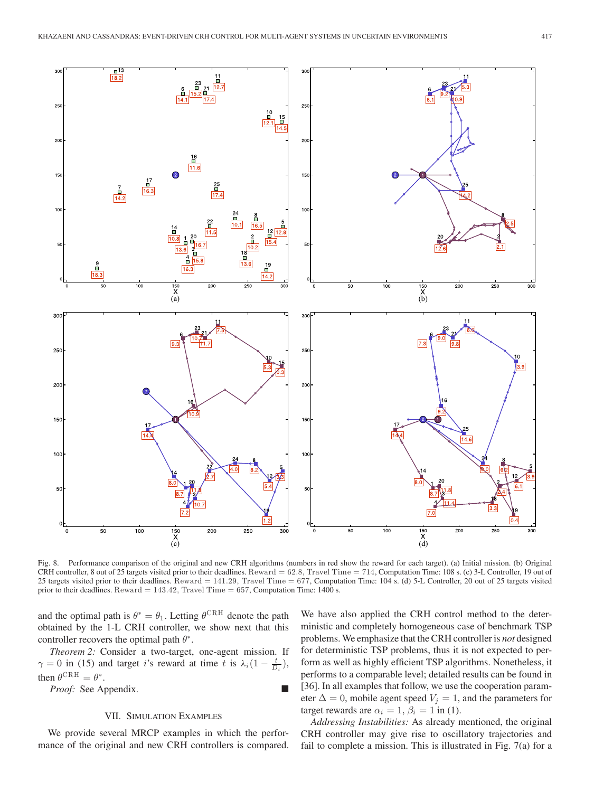



Fig. 8. Performance comparison of the original and new CRH algorithms (numbers in red show the reward for each target). (a) Initial mission. (b) Original CRH controller, 8 out of 25 targets visited prior to their deadlines. Reward = 62.8, Travel Time = 714, Computation Time: 108 s. (c) 3-L Controller, 19 out of 25 targets visited prior to their deadlines. Reward  $= 141.29$ , Travel Time  $= 677$ , Computation Time: 104 s. (d) 5-L Controller, 20 out of 25 targets visited prior to their deadlines. Reward  $= 143.42$ , Travel Time  $= 657$ , Computation Time: 1400 s.

and the optimal path is  $\theta^* = \theta_1$ . Letting  $\theta^{\text{CRH}}$  denote the path obtained by the 1-L CRH controller, we show next that this controller recovers the optimal path  $\theta^*$ .

*Theorem 2:* Consider a two-target, one-agent mission. If  $\gamma = 0$  in (15) and target i's reward at time t is  $\lambda_i(1 - \frac{t}{D_i})$ , then  $\theta^{\text{CRH}} = \theta^*$ .

*Proof:* See Appendix.

 $\frac{13}{18.2}$ 

100

25

 $20<sub>0</sub>$ 

 $15<sub>0</sub>$ 

10

# VII. SIMULATION EXAMPLES

We provide several MRCP examples in which the performance of the original and new CRH controllers is compared. We have also applied the CRH control method to the deterministic and completely homogeneous case of benchmark TSP problems. We emphasize that the CRH controller is *not* designed for deterministic TSP problems, thus it is not expected to perform as well as highly efficient TSP algorithms. Nonetheless, it performs to a comparable level; detailed results can be found in [36]. In all examples that follow, we use the cooperation parameter  $\Delta = 0$ , mobile agent speed  $V_j = 1$ , and the parameters for target rewards are  $\alpha_i = 1$ ,  $\beta_i = 1$  in (1).

*Addressing Instabilities:* As already mentioned, the original CRH controller may give rise to oscillatory trajectories and fail to complete a mission. This is illustrated in Fig. 7(a) for a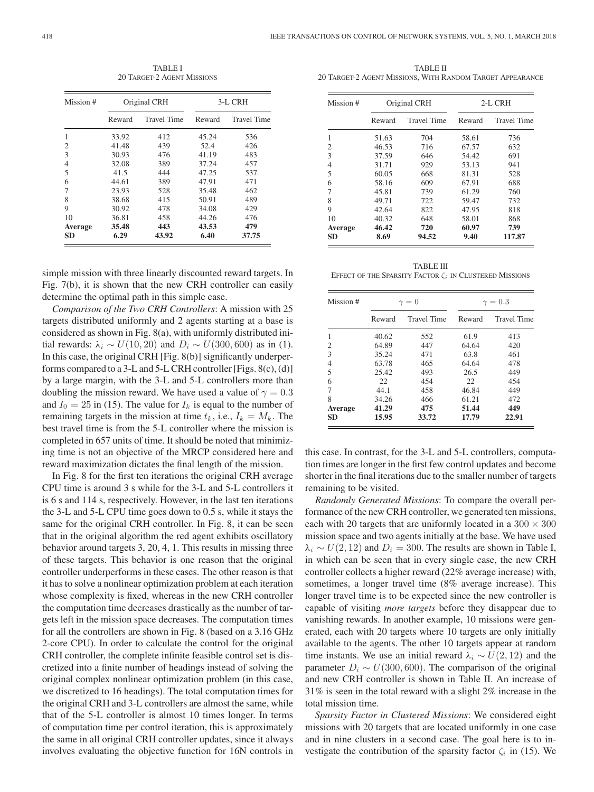TABLE I 20 TARGET-2 AGENT MISSIONS

| Mission #      | Original CRH |                    | 3-L CRH |                    |
|----------------|--------------|--------------------|---------|--------------------|
|                | Reward       | <b>Travel Time</b> | Reward  | <b>Travel Time</b> |
|                | 33.92        | 412                | 45.24   | 536                |
| $\overline{c}$ | 41.48        | 439                | 52.4    | 426                |
| 3              | 30.93        | 476                | 41.19   | 483                |
| 4              | 32.08        | 389                | 37.24   | 457                |
| 5              | 41.5         | 444                | 47.25   | 537                |
| 6              | 44.61        | 389                | 47.91   | 471                |
| 7              | 23.93        | 528                | 35.48   | 462                |
| 8              | 38.68        | 415                | 50.91   | 489                |
| 9              | 30.92        | 478                | 34.08   | 429                |
| 10             | 36.81        | 458                | 44.26   | 476                |
| Average        | 35.48        | 443                | 43.53   | 479                |
| SD             | 6.29         | 43.92              | 6.40    | 37.75              |

simple mission with three linearly discounted reward targets. In Fig. 7(b), it is shown that the new CRH controller can easily determine the optimal path in this simple case.

*Comparison of the Two CRH Controllers*: A mission with 25 targets distributed uniformly and 2 agents starting at a base is considered as shown in Fig. 8(a), with uniformly distributed initial rewards:  $\lambda_i \sim U(10, 20)$  and  $D_i \sim U(300, 600)$  as in (1). In this case, the original CRH [Fig. 8(b)] significantly underperforms compared to a 3-L and 5-L CRH controller [Figs. 8(c), (d)] by a large margin, with the 3-L and 5-L controllers more than doubling the mission reward. We have used a value of  $\gamma = 0.3$ and  $I_0 = 25$  in (15). The value for  $I_k$  is equal to the number of remaining targets in the mission at time  $t_k$ , i.e.,  $I_k = M_k$ . The best travel time is from the 5-L controller where the mission is completed in 657 units of time. It should be noted that minimizing time is not an objective of the MRCP considered here and reward maximization dictates the final length of the mission.

In Fig. 8 for the first ten iterations the original CRH average CPU time is around 3 s while for the 3-L and 5-L controllers it is 6 s and 114 s, respectively. However, in the last ten iterations the 3-L and 5-L CPU time goes down to 0.5 s, while it stays the same for the original CRH controller. In Fig. 8, it can be seen that in the original algorithm the red agent exhibits oscillatory behavior around targets 3, 20, 4, 1. This results in missing three of these targets. This behavior is one reason that the original controller underperforms in these cases. The other reason is that it has to solve a nonlinear optimization problem at each iteration whose complexity is fixed, whereas in the new CRH controller the computation time decreases drastically as the number of targets left in the mission space decreases. The computation times for all the controllers are shown in Fig. 8 (based on a 3.16 GHz 2-core CPU). In order to calculate the control for the original CRH controller, the complete infinite feasible control set is discretized into a finite number of headings instead of solving the original complex nonlinear optimization problem (in this case, we discretized to 16 headings). The total computation times for the original CRH and 3-L controllers are almost the same, while that of the 5-L controller is almost 10 times longer. In terms of computation time per control iteration, this is approximately the same in all original CRH controller updates, since it always involves evaluating the objective function for 16N controls in

TABLE II 20 TARGET-2 AGENT MISSIONS, WITH RANDOM TARGET APPEARANCE

| Mission #      | Original CRH |                    | $2-I$ . CRH |                    |
|----------------|--------------|--------------------|-------------|--------------------|
|                | Reward       | <b>Travel Time</b> | Reward      | <b>Travel Time</b> |
| 1              | 51.63        | 704                | 58.61       | 736                |
| $\overline{c}$ | 46.53        | 716                | 67.57       | 632                |
| 3              | 37.59        | 646                | 54.42       | 691                |
| 4              | 31.71        | 929                | 53.13       | 941                |
| 5              | 60.05        | 668                | 81.31       | 528                |
| 6              | 58.16        | 609                | 67.91       | 688                |
| 7              | 45.81        | 739                | 61.29       | 760                |
| 8              | 49.71        | 722                | 59.47       | 732                |
| 9              | 42.64        | 822                | 47.95       | 818                |
| 10             | 40.32        | 648                | 58.01       | 868                |
| Average        | 46.42        | 720                | 60.97       | 739                |
| <b>SD</b>      | 8.69         | 94.52              | 9.40        | 117.87             |

TABLE III EFFECT OF THE SPARSITY FACTOR  $\zeta_i$  in Clustered Missions

| Mission #      | $\gamma=0$ |                    | $\gamma=0.3$ |                    |
|----------------|------------|--------------------|--------------|--------------------|
|                | Reward     | <b>Travel Time</b> | Reward       | <b>Travel Time</b> |
|                | 40.62      | 552                | 61.9         | 413                |
| 2              | 64.89      | 447                | 64.64        | 420                |
| 3              | 35.24      | 471                | 63.8         | 461                |
| $\overline{4}$ | 63.78      | 465                | 64.64        | 478                |
| 5              | 25.42      | 493                | 26.5         | 449                |
| 6              | 22.        | 454                | 22           | 454                |
| 7              | 44.1       | 458                | 46.84        | 449                |
| 8              | 34.26      | 466                | 61.21        | 472                |
| <b>Average</b> | 41.29      | 475                | 51.44        | 449                |
| SD             | 15.95      | 33.72              | 17.79        | 22.91              |

this case. In contrast, for the 3-L and 5-L controllers, computation times are longer in the first few control updates and become shorter in the final iterations due to the smaller number of targets remaining to be visited.

*Randomly Generated Missions*: To compare the overall performance of the new CRH controller, we generated ten missions, each with 20 targets that are uniformly located in a  $300 \times 300$ mission space and two agents initially at the base. We have used  $\lambda_i \sim U(2, 12)$  and  $D_i = 300$ . The results are shown in Table I, in which can be seen that in every single case, the new CRH controller collects a higher reward (22% average increase) with, sometimes, a longer travel time (8% average increase). This longer travel time is to be expected since the new controller is capable of visiting *more targets* before they disappear due to vanishing rewards. In another example, 10 missions were generated, each with 20 targets where 10 targets are only initially available to the agents. The other 10 targets appear at random time instants. We use an initial reward  $\lambda_i \sim U(2, 12)$  and the parameter  $D_i \sim U(300, 600)$ . The comparison of the original and new CRH controller is shown in Table II. An increase of 31% is seen in the total reward with a slight 2% increase in the total mission time.

*Sparsity Factor in Clustered Missions*: We considered eight missions with 20 targets that are located uniformly in one case and in nine clusters in a second case. The goal here is to investigate the contribution of the sparsity factor  $\zeta_i$  in (15). We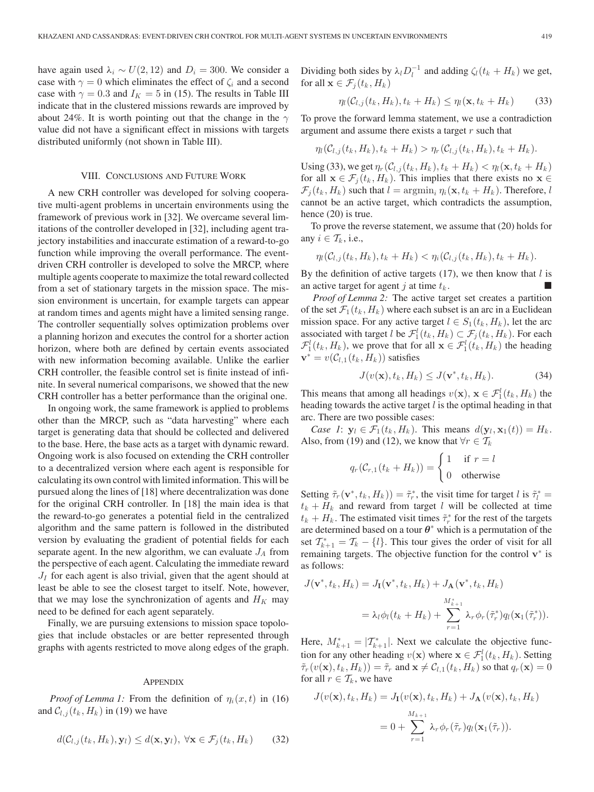have again used  $\lambda_i \sim U(2, 12)$  and  $D_i = 300$ . We consider a case with  $\gamma = 0$  which eliminates the effect of  $\zeta_i$  and a second case with  $\gamma = 0.3$  and  $I_K = 5$  in (15). The results in Table III indicate that in the clustered missions rewards are improved by about 24%. It is worth pointing out that the change in the  $\gamma$ value did not have a significant effect in missions with targets distributed uniformly (not shown in Table III).

#### VIII. CONCLUSIONS AND FUTURE WORK

A new CRH controller was developed for solving cooperative multi-agent problems in uncertain environments using the framework of previous work in [32]. We overcame several limitations of the controller developed in [32], including agent trajectory instabilities and inaccurate estimation of a reward-to-go function while improving the overall performance. The eventdriven CRH controller is developed to solve the MRCP, where multiple agents cooperate to maximize the total reward collected from a set of stationary targets in the mission space. The mission environment is uncertain, for example targets can appear at random times and agents might have a limited sensing range. The controller sequentially solves optimization problems over a planning horizon and executes the control for a shorter action horizon, where both are defined by certain events associated with new information becoming available. Unlike the earlier CRH controller, the feasible control set is finite instead of infinite. In several numerical comparisons, we showed that the new CRH controller has a better performance than the original one.

In ongoing work, the same framework is applied to problems other than the MRCP, such as "data harvesting" where each target is generating data that should be collected and delivered to the base. Here, the base acts as a target with dynamic reward. Ongoing work is also focused on extending the CRH controller to a decentralized version where each agent is responsible for calculating its own control with limited information. This will be pursued along the lines of [18] where decentralization was done for the original CRH controller. In [18] the main idea is that the reward-to-go generates a potential field in the centralized algorithm and the same pattern is followed in the distributed version by evaluating the gradient of potential fields for each separate agent. In the new algorithm, we can evaluate  $J_A$  from the perspective of each agent. Calculating the immediate reward  $J_I$  for each agent is also trivial, given that the agent should at least be able to see the closest target to itself. Note, however, that we may lose the synchronization of agents and  $H_K$  may need to be defined for each agent separately.

Finally, we are pursuing extensions to mission space topologies that include obstacles or are better represented through graphs with agents restricted to move along edges of the graph.

## **APPENDIX**

*Proof of Lemma 1:* From the definition of  $\eta_i(x, t)$  in (16) and  $C_{l,j}(t_k, H_k)$  in (19) we have

$$
d(C_{l,j}(t_k, H_k), \mathbf{y}_l) \leq d(\mathbf{x}, \mathbf{y}_l), \ \forall \mathbf{x} \in \mathcal{F}_j(t_k, H_k) \tag{32}
$$

Dividing both sides by  $\lambda_l D_l^{-1}$  and adding  $\zeta_l(t_k + H_k)$  we get, for all  $\mathbf{x} \in \mathcal{F}_i(t_k, H_k)$ 

$$
\eta_l(\mathcal{C}_{l,j}(t_k, H_k), t_k + H_k) \leq \eta_l(\mathbf{x}, t_k + H_k)
$$
 (33)

To prove the forward lemma statement, we use a contradiction argument and assume there exists a target  $r$  such that

$$
\eta_l(C_{l,j}(t_k, H_k), t_k + H_k) > \eta_r(C_{l,j}(t_k, H_k), t_k + H_k).
$$

Using (33), we get  $\eta_r(\mathcal{C}_{l,j}(t_k, H_k), t_k + H_k) < \eta_l(\mathbf{x}, t_k + H_k)$ for all  $\mathbf{x} \in \mathcal{F}_i(t_k, H_k)$ . This implies that there exists no  $\mathbf{x} \in$  $\mathcal{F}_j(t_k, H_k)$  such that  $l = \argmin_i \eta_i(\mathbf{x}, t_k + H_k)$ . Therefore, l cannot be an active target, which contradicts the assumption, hence (20) is true.

To prove the reverse statement, we assume that (20) holds for any  $i \in \mathcal{T}_k$ , i.e.,

$$
\eta_l(\mathcal{C}_{l,j}(t_k,H_k),t_k+H_k)<\eta_i(\mathcal{C}_{l,j}(t_k,H_k),t_k+H_k).
$$

By the definition of active targets  $(17)$ , we then know that l is an active target for agent j at time  $t_k$ .

*Proof of Lemma 2:* The active target set creates a partition of the set  $\mathcal{F}_1(t_k, H_k)$  where each subset is an arc in a Euclidean mission space. For any active target  $l \in S_1(t_k, H_k)$ , let the arc associated with target l be  $\mathcal{F}_1^l(t_k, H_k) \subset \mathcal{F}_j(t_k, H_k)$ . For each  $\mathcal{F}_1^l(t_k, H_k)$ , we prove that for all  $\mathbf{x} \in \mathcal{F}_1^l(t_k, H_k)$  the heading  $\mathbf{v}^* = v(\mathcal{C}_{l,1}(t_k, H_k))$  satisfies

$$
J(v(\mathbf{x}), t_k, H_k) \le J(\mathbf{v}^*, t_k, H_k). \tag{34}
$$

This means that among all headings  $v(\mathbf{x}), \mathbf{x} \in \mathcal{F}_1^l(t_k, H_k)$  the heading towards the active target  $l$  is the optimal heading in that arc. There are two possible cases:

*Case 1*:  $\mathbf{y}_l \in \mathcal{F}_1(t_k, H_k)$ . This means  $d(\mathbf{y}_l, \mathbf{x}_1(t)) = H_k$ . Also, from (19) and (12), we know that  $\forall r \in \mathcal{T}_k$ 

$$
q_r(\mathcal{C}_{r,1}(t_k + H_k)) = \begin{cases} 1 & \text{if } r = l \\ 0 & \text{otherwise} \end{cases}
$$

Setting  $\tilde{\tau}_r(\mathbf{v}^*, t_k, H_k)$ ) =  $\tilde{\tau}_r^*$ , the visit time for target l is  $\tilde{\tau}_l^*$  =  $t_k + H_k$  and reward from target l will be collected at time  $t_k + H_k$ . The estimated visit times  $\tilde{\tau}_r^*$  for the rest of the targets are determined based on a tour  $\theta^*$  which is a permutation of the set  $\mathcal{T}_{k+1}^* = \mathcal{T}_k - \{l\}$ . This tour gives the order of visit for all remaining targets. The objective function for the control **v**<sup>∗</sup> is as follows:

$$
J(\mathbf{v}^*, t_k, H_k) = J_{\mathbf{I}}(\mathbf{v}^*, t_k, H_k) + J_{\mathbf{A}}(\mathbf{v}^*, t_k, H_k)
$$
  
=  $\lambda_l \phi_l(t_k + H_k) + \sum_{r=1}^{M_{k+1}^*} \lambda_r \phi_r(\tilde{\tau}_r^*) q_l(\mathbf{x}_1(\tilde{\tau}_r^*)).$ 

Here,  $M_{k+1}^* = |\mathcal{T}_{k+1}^*|$ . Next we calculate the objective function for any other heading  $v(\mathbf{x})$  where  $\mathbf{x} \in \mathcal{F}^l_1(t_k, H_k)$ . Setting  $\tilde{\tau}_r(v(\mathbf{x}), t_k, H_k)) = \tilde{\tau}_r$  and  $\mathbf{x} \neq \mathcal{C}_{l,1}(t_k, H_k)$  so that  $q_r(\mathbf{x}) = 0$ for all  $r \in \mathcal{T}_k$ , we have

$$
J(v(\mathbf{x}), t_k, H_k) = J_{\mathbf{I}}(v(\mathbf{x}), t_k, H_k) + J_{\mathbf{A}}(v(\mathbf{x}), t_k, H_k)
$$
  
=  $0 + \sum_{r=1}^{M_{k+1}} \lambda_r \phi_r(\tilde{\tau}_r) q_l(\mathbf{x}_1(\tilde{\tau}_r)).$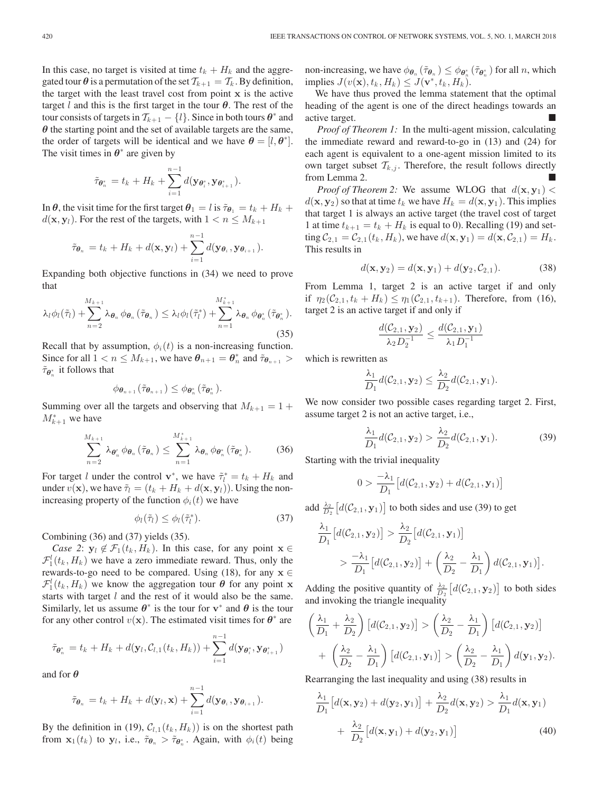In this case, no target is visited at time  $t_k + H_k$  and the aggregated tour  $\theta$  is a permutation of the set  $\mathcal{T}_{k+1} = \mathcal{T}_k$ . By definition, the target with the least travel cost from point **x** is the active target l and this is the first target in the tour  $\theta$ . The rest of the tour consists of targets in  $\mathcal{T}_{k+1} - \{l\}$ . Since in both tours  $\theta^*$  and *θ* the starting point and the set of available targets are the same, the order of targets will be identical and we have  $\theta = [l, \theta^*]$ . The visit times in  $\theta^*$  are given by

$$
\tilde{\tau}_{\boldsymbol{\theta}_n^*} = t_k + H_k + \sum_{i=1}^{n-1} d(\mathbf{y}_{\boldsymbol{\theta}_i^*}, \mathbf{y}_{\boldsymbol{\theta}_{i+1}^*}).
$$

In  $\theta$ , the visit time for the first target  $\theta_1 = l$  is  $\tilde{\tau}_{\theta_1} = t_k + H_k + \tilde{\tau}_{\theta_k}$  $d(\mathbf{x}, \mathbf{y}_l)$ . For the rest of the targets, with  $1 < n \leq M_{k+1}$ 

$$
\tilde{\tau}_{\boldsymbol{\theta}_n} = t_k + H_k + d(\mathbf{x}, \mathbf{y}_l) + \sum_{i=1}^{n-1} d(\mathbf{y}_{\boldsymbol{\theta}_i}, \mathbf{y}_{\boldsymbol{\theta}_{i+1}}).
$$

Expanding both objective functions in (34) we need to prove that

$$
\lambda_l \phi_l(\tilde{\tau}_l) + \sum_{n=2}^{M_{k+1}} \lambda_{\theta_n} \phi_{\theta_n}(\tilde{\tau}_{\theta_n}) \leq \lambda_l \phi_l(\tilde{\tau}_l^*) + \sum_{n=1}^{M_{k+1}^*} \lambda_{\theta_n} \phi_{\theta_n^*}(\tilde{\tau}_{\theta_n^*}).
$$
\n(35)

Recall that by assumption,  $\phi_i(t)$  is a non-increasing function. Since for all  $1 < n \le M_{k+1}$ , we have  $\theta_{n+1} = \theta_n^*$  and  $\tilde{\tau}_{\theta_{n+1}} >$  $\tilde{\tau}_{\theta_n^*}$  it follows that

$$
\phi_{\boldsymbol{\theta}_{n+1}}(\tilde{\tau}_{\boldsymbol{\theta}_{n+1}}) \leq \phi_{\boldsymbol{\theta}_{n}^{*}}(\tilde{\tau}_{\boldsymbol{\theta}_{n}^{*}}).
$$

Summing over all the targets and observing that  $M_{k+1} = 1 +$  $M^*_{k+1}$  we have

$$
\sum_{n=2}^{M_{k+1}} \lambda_{\boldsymbol{\theta}_{n}'} \phi_{\boldsymbol{\theta}_{n}} (\tilde{\tau}_{\boldsymbol{\theta}_{n}}) \leq \sum_{n=1}^{M_{k+1}^{*}} \lambda_{\boldsymbol{\theta}_{n}} \phi_{\boldsymbol{\theta}_{n}^{*}} (\tilde{\tau}_{\boldsymbol{\theta}_{n}^{*}}).
$$
 (36)

For target l under the control **v**<sup>\*</sup>, we have  $\tilde{\tau}_l^* = t_k + H_k$  and under  $v(\mathbf{x})$ , we have  $\tilde{\tau}_l = (t_k + H_k + d(\mathbf{x}, \mathbf{y}_l))$ . Using the nonincreasing property of the function  $\phi_i(t)$  we have

$$
\phi_l(\tilde{\tau}_l) \le \phi_l(\tilde{\tau}_l^*). \tag{37}
$$

Combining (36) and (37) yields (35).

*Case 2*:  $y_l \notin \mathcal{F}_1(t_k, H_k)$ . In this case, for any point **x** ∈  $\mathcal{F}_1^l(t_k, H_k)$  we have a zero immediate reward. Thus, only the rewards-to-go need to be compared. Using (18), for any  $x \in$  $\mathcal{F}_1^l(t_k, H_k)$  we know the aggregation tour  $\theta$  for any point **x** starts with target l and the rest of it would also be the same. Similarly, let us assume  $\theta^*$  is the tour for  $\mathbf{v}^*$  and  $\theta$  is the tour for any other control  $v(x)$ . The estimated visit times for  $\theta^*$  are

$$
\tilde{\tau}_{\boldsymbol{\theta}_n^*} = t_k + H_k + d(\mathbf{y}_l, C_{l,1}(t_k, H_k)) + \sum_{i=1}^{n-1} d(\mathbf{y}_{\boldsymbol{\theta}_i^*}, \mathbf{y}_{\boldsymbol{\theta}_{i+1}^*})
$$

and for *θ*

$$
\tilde{\tau}_{\boldsymbol{\theta}_n} = t_k + H_k + d(\mathbf{y}_l, \mathbf{x}) + \sum_{i=1}^{n-1} d(\mathbf{y}_{\boldsymbol{\theta}_i}, \mathbf{y}_{\boldsymbol{\theta}_{i+1}}).
$$

By the definition in (19),  $C_{l,1}(t_k, H_k)$ ) is on the shortest path from  $\mathbf{x}_1(t_k)$  to  $\mathbf{y}_l$ , i.e.,  $\tilde{\tau}_{\theta_n} > \tilde{\tau}_{\theta_n}$ . Again, with  $\phi_i(t)$  being

non-increasing, we have  $\phi_{\theta_n}(\tilde{\tau}_{\theta_n}) \leq \phi_{\theta_n}(\tilde{\tau}_{\theta_n})$  for all *n*, which implies  $J(v(\mathbf{x}), t_k, H_k) \leq J(\mathbf{v}^*, t_k, H_k)$ .

We have thus proved the lemma statement that the optimal heading of the agent is one of the direct headings towards an active target.

*Proof of Theorem 1:* In the multi-agent mission, calculating the immediate reward and reward-to-go in (13) and (24) for each agent is equivalent to a one-agent mission limited to its own target subset  $\mathcal{T}_{k,j}$ . Therefore, the result follows directly from Lemma 2.

*Proof of Theorem 2:* We assume WLOG that  $d(\mathbf{x}, \mathbf{y}_1)$  <  $d(\mathbf{x}, \mathbf{y}_2)$  so that at time  $t_k$  we have  $H_k = d(\mathbf{x}, \mathbf{y}_1)$ . This implies that target 1 is always an active target (the travel cost of target 1 at time  $t_{k+1} = t_k + H_k$  is equal to 0). Recalling (19) and setting  $C_{2,1} = C_{2,1}(t_k, H_k)$ , we have  $d(\mathbf{x}, \mathbf{y}_1) = d(\mathbf{x}, C_{2,1}) = H_k$ . This results in

$$
d(\mathbf{x}, \mathbf{y}_2) = d(\mathbf{x}, \mathbf{y}_1) + d(\mathbf{y}_2, C_{2,1}).
$$
 (38)

From Lemma 1, target 2 is an active target if and only if  $\eta_2(C_{2,1}, t_k + H_k) \leq \eta_1(C_{2,1}, t_{k+1})$ . Therefore, from (16), target 2 is an active target if and only if

$$
\frac{d(\mathcal{C}_{2,1}, \mathbf{y}_2)}{\lambda_2 D_2^{-1}} \le \frac{d(\mathcal{C}_{2,1}, \mathbf{y}_1)}{\lambda_1 D_1^{-1}}
$$

which is rewritten as

$$
\frac{\lambda_1}{D_1}d(\mathcal{C}_{2,1},\mathbf{y}_2)\leq \frac{\lambda_2}{D_2}d(\mathcal{C}_{2,1},\mathbf{y}_1).
$$

We now consider two possible cases regarding target 2. First, assume target 2 is not an active target, i.e.,

$$
\frac{\lambda_1}{D_1}d(\mathcal{C}_{2,1}, \mathbf{y}_2) > \frac{\lambda_2}{D_2}d(\mathcal{C}_{2,1}, \mathbf{y}_1). \tag{39}
$$

Starting with the trivial inequality

$$
0 > \frac{-\lambda_1}{D_1} [d(\mathcal{C}_{2,1}, \mathbf{y}_2) + d(\mathcal{C}_{2,1}, \mathbf{y}_1)]
$$

add  $\frac{\lambda_2}{D_2} [d(\mathcal{C}_{2,1}, \mathbf{y}_1)]$  to both sides and use (39) to get

$$
\frac{\lambda_1}{D_1} [d(C_{2,1}, \mathbf{y}_2)] > \frac{\lambda_2}{D_2} [d(C_{2,1}, \mathbf{y}_1)]
$$
  
> 
$$
\frac{-\lambda_1}{D_1} [d(C_{2,1}, \mathbf{y}_2)] + \left(\frac{\lambda_2}{D_2} - \frac{\lambda_1}{D_1}\right) d(C_{2,1}, \mathbf{y}_1)].
$$

Adding the positive quantity of  $\frac{\lambda_2}{D_2} [d(C_{2,1}, \mathbf{y}_2)]$  to both sides and invoking the triangle inequality

$$
\left(\frac{\lambda_1}{D_1} + \frac{\lambda_2}{D_2}\right) \left[d(\mathcal{C}_{2,1}, \mathbf{y}_2)\right] > \left(\frac{\lambda_2}{D_2} - \frac{\lambda_1}{D_1}\right) \left[d(\mathcal{C}_{2,1}, \mathbf{y}_2)\right] \n+ \left(\frac{\lambda_2}{D_2} - \frac{\lambda_1}{D_1}\right) \left[d(\mathcal{C}_{2,1}, \mathbf{y}_1)\right] > \left(\frac{\lambda_2}{D_2} - \frac{\lambda_1}{D_1}\right) d(\mathbf{y}_1, \mathbf{y}_2).
$$

Rearranging the last inequality and using (38) results in

$$
\frac{\lambda_1}{D_1} \left[ d(\mathbf{x}, \mathbf{y}_2) + d(\mathbf{y}_2, \mathbf{y}_1) \right] + \frac{\lambda_2}{D_2} d(\mathbf{x}, \mathbf{y}_2) > \frac{\lambda_1}{D_1} d(\mathbf{x}, \mathbf{y}_1) \n+ \frac{\lambda_2}{D_2} \left[ d(\mathbf{x}, \mathbf{y}_1) + d(\mathbf{y}_2, \mathbf{y}_1) \right]
$$
\n(40)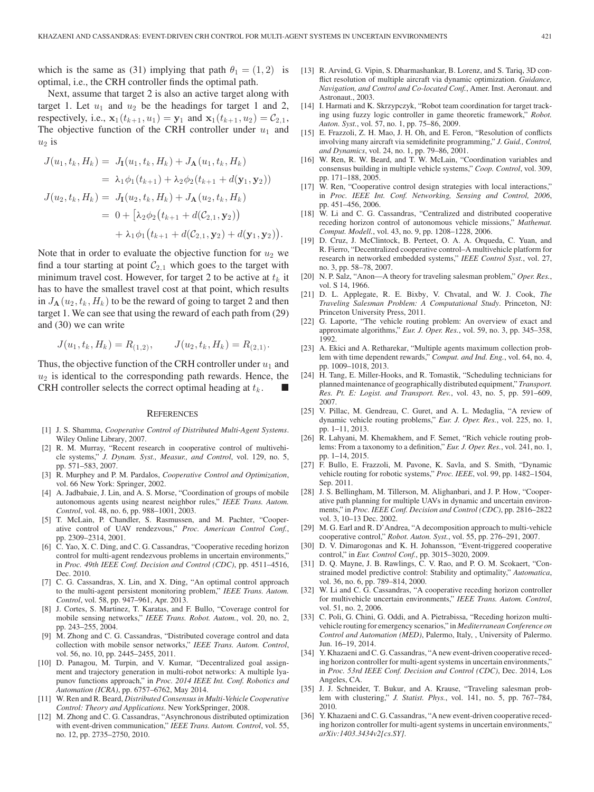which is the same as (31) implying that path  $\theta_1 = (1, 2)$  is optimal, i.e., the CRH controller finds the optimal path.

Next, assume that target 2 is also an active target along with target 1. Let  $u_1$  and  $u_2$  be the headings for target 1 and 2, respectively, i.e.,  $\mathbf{x}_1(t_{k+1}, u_1) = \mathbf{y}_1$  and  $\mathbf{x}_1(t_{k+1}, u_2) = C_{2,1}$ , The objective function of the CRH controller under  $u_1$  and  $u_2$  is

$$
J(u_1, t_k, H_k) = J_{\mathbf{I}}(u_1, t_k, H_k) + J_{\mathbf{A}}(u_1, t_k, H_k)
$$
  
\n
$$
= \lambda_1 \phi_1(t_{k+1}) + \lambda_2 \phi_2(t_{k+1} + d(\mathbf{y}_1, \mathbf{y}_2))
$$
  
\n
$$
J(u_2, t_k, H_k) = J_{\mathbf{I}}(u_2, t_k, H_k) + J_{\mathbf{A}}(u_2, t_k, H_k)
$$
  
\n
$$
= 0 + [\lambda_2 \phi_2(t_{k+1} + d(C_{2,1}, \mathbf{y}_2))
$$
  
\n
$$
+ \lambda_1 \phi_1(t_{k+1} + d(C_{2,1}, \mathbf{y}_2) + d(\mathbf{y}_1, \mathbf{y}_2)).
$$

Note that in order to evaluate the objective function for  $u_2$  we find a tour starting at point  $C_{2,1}$  which goes to the target with minimum travel cost. However, for target 2 to be active at  $t_k$  it has to have the smallest travel cost at that point, which results in  $J_{\mathbf{A}}(u_2, t_k, H_k)$  to be the reward of going to target 2 and then target 1. We can see that using the reward of each path from (29) and (30) we can write

$$
J(u_1, t_k, H_k) = R_{(1,2)}, \qquad J(u_2, t_k, H_k) = R_{(2,1)}.
$$

Thus, the objective function of the CRH controller under  $u_1$  and  $u_2$  is identical to the corresponding path rewards. Hence, the CRH controller selects the correct optimal heading at  $t_k$ .

#### **REFERENCES**

- [1] J. S. Shamma, *Cooperative Control of Distributed Multi-Agent Systems*. Wiley Online Library, 2007.
- [2] R. M. Murray, "Recent research in cooperative control of multivehicle systems," *J. Dynam. Syst., Measur., and Control*, vol. 129, no. 5, pp. 571–583, 2007.
- [3] R. Murphey and P. M. Pardalos, *Cooperative Control and Optimization*, vol. 66 New York: Springer, 2002.
- [4] A. Jadbabaie, J. Lin, and A. S. Morse, "Coordination of groups of mobile autonomous agents using nearest neighbor rules," *IEEE Trans. Autom. Control*, vol. 48, no. 6, pp. 988–1001, 2003.
- [5] T. McLain, P. Chandler, S. Rasmussen, and M. Pachter, "Cooperative control of UAV rendezvous," *Proc. American Control Conf.*, pp. 2309–2314, 2001.
- [6] C. Yao, X. C. Ding, and C. G. Cassandras, "Cooperative receding horizon control for multi-agent rendezvous problems in uncertain environments," in *Proc. 49th IEEE Conf. Decision and Control (CDC)*, pp. 4511–4516, Dec. 2010.
- [7] C. G. Cassandras, X. Lin, and X. Ding, "An optimal control approach to the multi-agent persistent monitoring problem," *IEEE Trans. Autom. Control*, vol. 58, pp. 947–961, Apr. 2013.
- [8] J. Cortes, S. Martinez, T. Karatas, and F. Bullo, "Coverage control for mobile sensing networks," *IEEE Trans. Robot. Autom.*, vol. 20, no. 2, pp. 243–255, 2004.
- [9] M. Zhong and C. G. Cassandras, "Distributed coverage control and data collection with mobile sensor networks," *IEEE Trans. Autom. Control*, vol. 56, no. 10, pp. 2445–2455, 2011.
- [10] D. Panagou, M. Turpin, and V. Kumar, "Decentralized goal assignment and trajectory generation in multi-robot networks: A multiple lyapunov functions approach," in *Proc. 2014 IEEE Int. Conf. Robotics and Automation (ICRA)*, pp. 6757–6762, May 2014.
- [11] W. Ren and R. Beard, *Distributed Consensus in Multi-Vehicle Cooperative Control: Theory and Applications*. New YorkSpringer, 2008.
- [12] M. Zhong and C. G. Cassandras, "Asynchronous distributed optimization with event-driven communication," *IEEE Trans. Autom. Control*, vol. 55, no. 12, pp. 2735–2750, 2010.
- [13] R. Arvind, G. Vipin, S. Dharmashankar, B. Lorenz, and S. Tariq, 3D conflict resolution of multiple aircraft via dynamic optimization. *Guidance, Navigation, and Control and Co-located Conf.*, Amer. Inst. Aeronaut. and Astronaut., 2003.
- [14] I. Harmati and K. Skrzypczyk, "Robot team coordination for target tracking using fuzzy logic controller in game theoretic framework," *Robot. Auton. Syst.*, vol. 57, no. 1, pp. 75–86, 2009.
- [15] E. Frazzoli, Z. H. Mao, J. H. Oh, and E. Feron, "Resolution of conflicts involving many aircraft via semidefinite programming," *J. Guid., Control, and Dynamics*, vol. 24, no. 1, pp. 79–86, 2001.
- [16] W. Ren, R. W. Beard, and T. W. McLain, "Coordination variables and consensus building in multiple vehicle systems," *Coop. Control*, vol. 309, pp. 171–188, 2005.
- [17] W. Ren, "Cooperative control design strategies with local interactions," in *Proc. IEEE Int. Conf. Networking, Sensing and Control, 2006*, pp. 451–456, 2006.
- [18] W. Li and C. G. Cassandras, "Centralized and distributed cooperative receding horizon control of autonomous vehicle missions," *Mathemat. Comput. Modell.*, vol. 43, no. 9, pp. 1208–1228, 2006.
- [19] D. Cruz, J. McClintock, B. Perteet, O. A. A. Orqueda, C. Yuan, and R. Fierro, "Decentralized cooperative control–A multivehicle platform for research in networked embedded systems," *IEEE Control Syst.*, vol. 27, no. 3, pp. 58–78, 2007.
- [20] N. P. Salz, "Anon—A theory for traveling salesman problem," *Oper. Res.*, vol. S 14, 1966.
- [21] D. L. Applegate, R. E. Bixby, V. Chvatal, and W. J. Cook, *The Traveling Salesman Problem: A Computational Study*. Princeton, NJ: Princeton University Press, 2011.
- [22] G. Laporte, "The vehicle routing problem: An overview of exact and approximate algorithms," *Eur. J. Oper. Res.*, vol. 59, no. 3, pp. 345–358, 1992.
- [23] A. Ekici and A. Retharekar, "Multiple agents maximum collection problem with time dependent rewards," *Comput. and Ind. Eng.*, vol. 64, no. 4, pp. 1009–1018, 2013.
- [24] H. Tang, E. Miller-Hooks, and R. Tomastik, "Scheduling technicians for planned maintenance of geographically distributed equipment," *Transport. Res. Pt. E: Logist. and Transport. Rev.*, vol. 43, no. 5, pp. 591–609, 2007.
- [25] V. Pillac, M. Gendreau, C. Guret, and A. L. Medaglia, "A review of dynamic vehicle routing problems," *Eur. J. Oper. Res.*, vol. 225, no. 1, pp. 1–11, 2013.
- [26] R. Lahyani, M. Khemakhem, and F. Semet, "Rich vehicle routing problems: From a taxonomy to a definition," *Eur. J. Oper. Res.*, vol. 241, no. 1, pp. 1–14, 2015.
- [27] F. Bullo, E. Frazzoli, M. Pavone, K. Savla, and S. Smith, "Dynamic vehicle routing for robotic systems," *Proc. IEEE*, vol. 99, pp. 1482–1504, Sep. 2011.
- [28] J. S. Bellingham, M. Tillerson, M. Alighanbari, and J. P. How, "Cooperative path planning for multiple UAVs in dynamic and uncertain environments," in *Proc. IEEE Conf. Decision and Control (CDC)*, pp. 2816–2822 vol. 3, 10–13 Dec. 2002.
- [29] M. G. Earl and R. D'Andrea, "A decomposition approach to multi-vehicle cooperative control," *Robot. Auton. Syst.*, vol. 55, pp. 276–291, 2007.
- [30] D. V. Dimarogonas and K. H. Johansson, "Event-triggered cooperative control," in *Eur. Control Conf.*, pp. 3015–3020, 2009.
- [31] D. Q. Mayne, J. B. Rawlings, C. V. Rao, and P. O. M. Scokaert, "Constrained model predictive control: Stability and optimality," *Automatica*, vol. 36, no. 6, pp. 789–814, 2000.
- [32] W. Li and C. G. Cassandras, "A cooperative receding horizon controller for multivehicle uncertain environments," *IEEE Trans. Autom. Control*, vol. 51, no. 2, 2006.
- [33] C. Poli, G. Chini, G. Oddi, and A. Pietrabissa, "Receding horizon multivehicle routing for emergency scenarios," in *Mediterranean Conference on Control and Automation (MED)*, Palermo, Italy, , University of Palermo. Jun. 16–19, 2014.
- [34] Y. Khazaeni and C. G. Cassandras, "A new event-driven cooperative receding horizon controller for multi-agent systems in uncertain environments," in *Proc. 53rd IEEE Conf. Decision and Control (CDC)*, Dec. 2014, Los Angeles, CA.
- [35] J. J. Schneider, T. Bukur, and A. Krause, "Traveling salesman problem with clustering," *J. Statist. Phys.*, vol. 141, no. 5, pp. 767–784, 2010.
- [36] Y. Khazaeni and C. G. Cassandras, "A new event-driven cooperative receding horizon controller for multi-agent systems in uncertain environments," *arXiv:1403.3434v2[cs.SY]*.